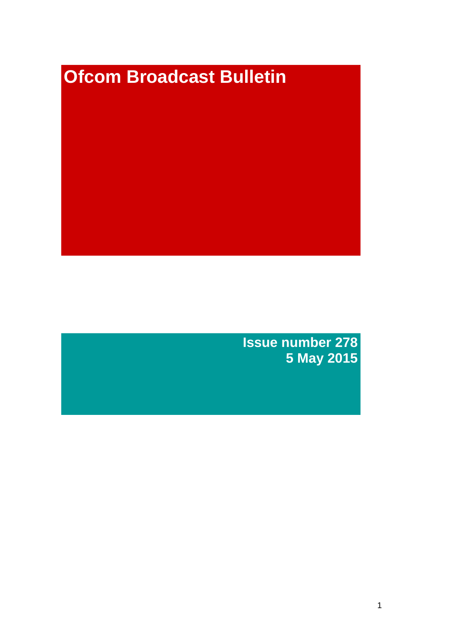# **Ofcom Broadcast Bulletin**

**Issue number 278 5 May 2015**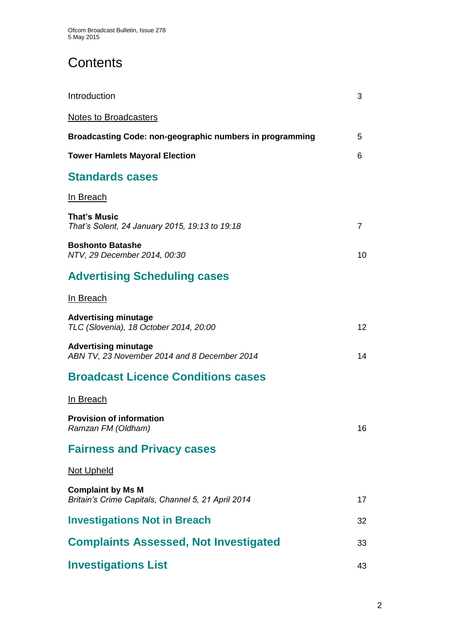# **Contents**

| Introduction                                                                   | 3              |
|--------------------------------------------------------------------------------|----------------|
| <b>Notes to Broadcasters</b>                                                   |                |
| Broadcasting Code: non-geographic numbers in programming                       | 5              |
| <b>Tower Hamlets Mayoral Election</b>                                          | 6              |
| <b>Standards cases</b>                                                         |                |
| In Breach                                                                      |                |
| <b>That's Music</b><br>That's Solent, 24 January 2015, 19:13 to 19:18          | $\overline{7}$ |
| <b>Boshonto Batashe</b><br>NTV, 29 December 2014, 00:30                        | 10             |
| <b>Advertising Scheduling cases</b>                                            |                |
| In Breach                                                                      |                |
| <b>Advertising minutage</b><br>TLC (Slovenia), 18 October 2014, 20:00          | 12             |
| <b>Advertising minutage</b><br>ABN TV, 23 November 2014 and 8 December 2014    | 14             |
| <b>Broadcast Licence Conditions cases</b>                                      |                |
| In Breach                                                                      |                |
| <b>Provision of information</b><br>Ramzan FM (Oldham)                          | 16             |
| <b>Fairness and Privacy cases</b>                                              |                |
| Not Upheld                                                                     |                |
| <b>Complaint by Ms M</b><br>Britain's Crime Capitals, Channel 5, 21 April 2014 | 17             |
| <b>Investigations Not in Breach</b>                                            | 32             |
| <b>Complaints Assessed, Not Investigated</b>                                   | 33             |
| <b>Investigations List</b>                                                     | 43             |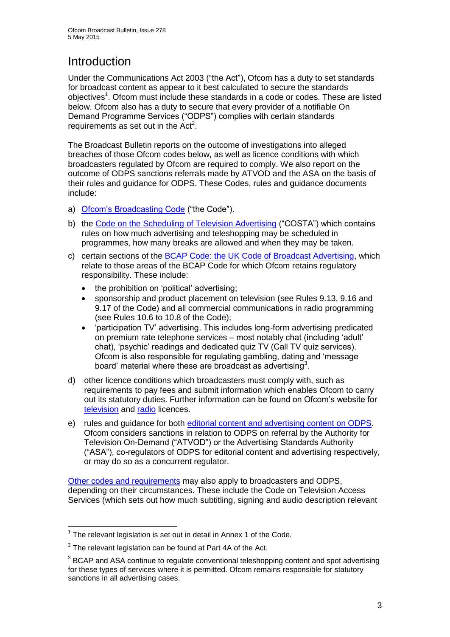# Introduction

Under the Communications Act 2003 ("the Act"), Ofcom has a duty to set standards for broadcast content as appear to it best calculated to secure the standards objectives<sup>1</sup>. Ofcom must include these standards in a code or codes. These are listed below. Ofcom also has a duty to secure that every provider of a notifiable On Demand Programme Services ("ODPS") complies with certain standards requirements as set out in the  $Act<sup>2</sup>$ .

The Broadcast Bulletin reports on the outcome of investigations into alleged breaches of those Ofcom codes below, as well as licence conditions with which broadcasters regulated by Ofcom are required to comply. We also report on the outcome of ODPS sanctions referrals made by ATVOD and the ASA on the basis of their rules and guidance for ODPS. These Codes, rules and guidance documents include:

- a) [Ofcom's Broadcasting Code](http://stakeholders.ofcom.org.uk/broadcasting/broadcast-codes/broadcast-code/) ("the Code").
- b) the [Code on the Scheduling of Television Advertising](http://stakeholders.ofcom.org.uk/broadcasting/broadcast-codes/advert-code/) ("COSTA") which contains rules on how much advertising and teleshopping may be scheduled in programmes, how many breaks are allowed and when they may be taken.
- c) certain sections of the [BCAP Code: the UK Code of Broadcast Advertising,](http://www.bcap.org.uk/Advertising-Codes/Broadcast-HTML.aspx) which relate to those areas of the BCAP Code for which Ofcom retains regulatory responsibility. These include:
	- the prohibition on 'political' advertising:
	- sponsorship and product placement on television (see Rules 9.13, 9.16 and 9.17 of the Code) and all commercial communications in radio programming (see Rules 10.6 to 10.8 of the Code);
	- 'participation TV' advertising. This includes long-form advertising predicated on premium rate telephone services – most notably chat (including 'adult' chat), 'psychic' readings and dedicated quiz TV (Call TV quiz services). Ofcom is also responsible for regulating gambling, dating and 'message board' material where these are broadcast as advertising<sup>3</sup>.
- d) other licence conditions which broadcasters must comply with, such as requirements to pay fees and submit information which enables Ofcom to carry out its statutory duties. Further information can be found on Ofcom's website for [television](http://licensing.ofcom.org.uk/tv-broadcast-licences/) and [radio](http://licensing.ofcom.org.uk/radio-broadcast-licensing/) licences.
- e) rules and guidance for both [editorial content and advertising content on ODPS.](http://www.atvod.co.uk/uploads/files/ATVOD_Rules_and_Guidance_Ed_2.0_May_2012.pdf) Ofcom considers sanctions in relation to ODPS on referral by the Authority for Television On-Demand ("ATVOD") or the Advertising Standards Authority ("ASA"), co-regulators of ODPS for editorial content and advertising respectively, or may do so as a concurrent regulator.

[Other codes and requirements](http://stakeholders.ofcom.org.uk/broadcasting/broadcast-codes/) may also apply to broadcasters and ODPS, depending on their circumstances. These include the Code on Television Access Services (which sets out how much subtitling, signing and audio description relevant

<sup>1</sup>  $1$  The relevant legislation is set out in detail in Annex 1 of the Code.

 $2$  The relevant legislation can be found at Part 4A of the Act.

 $3$  BCAP and ASA continue to regulate conventional teleshopping content and spot advertising for these types of services where it is permitted. Ofcom remains responsible for statutory sanctions in all advertising cases.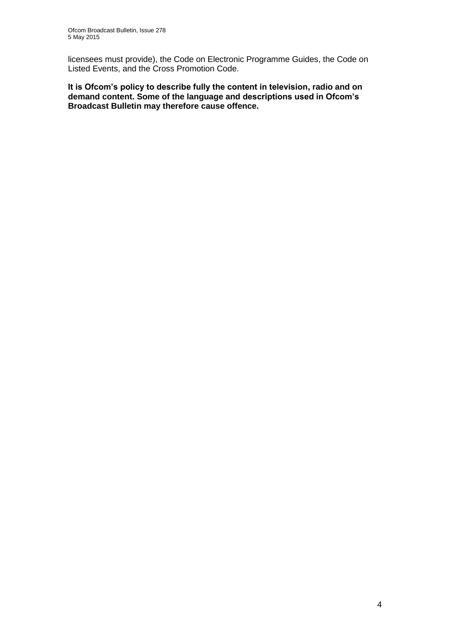licensees must provide), the Code on Electronic Programme Guides, the Code on Listed Events, and the Cross Promotion Code.

**It is Ofcom's policy to describe fully the content in television, radio and on demand content. Some of the language and descriptions used in Ofcom's Broadcast Bulletin may therefore cause offence.**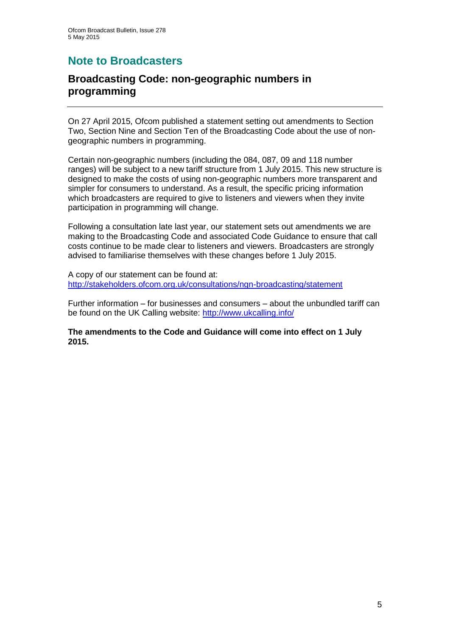# **Note to Broadcasters**

## **Broadcasting Code: non-geographic numbers in programming**

On 27 April 2015, Ofcom published a statement setting out amendments to Section Two, Section Nine and Section Ten of the Broadcasting Code about the use of nongeographic numbers in programming.

Certain non-geographic numbers (including the 084, 087, 09 and 118 number ranges) will be subject to a new tariff structure from 1 July 2015. This new structure is designed to make the costs of using non-geographic numbers more transparent and simpler for consumers to understand. As a result, the specific pricing information which broadcasters are required to give to listeners and viewers when they invite participation in programming will change.

Following a consultation late last year, our statement sets out amendments we are making to the Broadcasting Code and associated Code Guidance to ensure that call costs continue to be made clear to listeners and viewers. Broadcasters are strongly advised to familiarise themselves with these changes before 1 July 2015.

A copy of our statement can be found at: <http://stakeholders.ofcom.org.uk/consultations/ngn-broadcasting/statement>

Further information – for businesses and consumers – about the unbundled tariff can be found on the UK Calling website:<http://www.ukcalling.info/>

**The amendments to the Code and Guidance will come into effect on 1 July 2015.**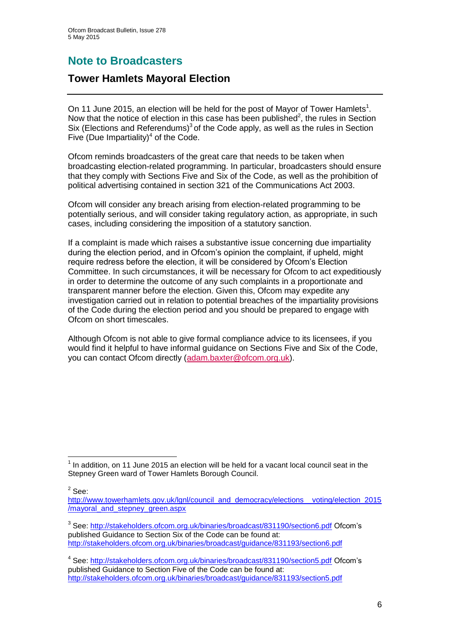# **Note to Broadcasters**

## **Tower Hamlets Mayoral Election**

On 11 June 2015, an election will be held for the post of Mayor of Tower Hamlets<sup>1</sup>. Now that the notice of election in this case has been published<sup>2</sup>, the rules in Section Six (Elections and Referendums) $3$  of the Code apply, as well as the rules in Section Five (Due Impartiality) $<sup>4</sup>$  of the Code.</sup>

Ofcom reminds broadcasters of the great care that needs to be taken when broadcasting election-related programming. In particular, broadcasters should ensure that they comply with Sections Five and Six of the Code, as well as the prohibition of political advertising contained in section 321 of the Communications Act 2003.

Ofcom will consider any breach arising from election-related programming to be potentially serious, and will consider taking regulatory action, as appropriate, in such cases, including considering the imposition of a statutory sanction.

If a complaint is made which raises a substantive issue concerning due impartiality during the election period, and in Ofcom's opinion the complaint, if upheld, might require redress before the election, it will be considered by Ofcom's Election Committee. In such circumstances, it will be necessary for Ofcom to act expeditiously in order to determine the outcome of any such complaints in a proportionate and transparent manner before the election. Given this, Ofcom may expedite any investigation carried out in relation to potential breaches of the impartiality provisions of the Code during the election period and you should be prepared to engage with Ofcom on short timescales.

Although Ofcom is not able to give formal compliance advice to its licensees, if you would find it helpful to have informal guidance on Sections Five and Six of the Code, you can contact Ofcom directly [\(adam.baxter@ofcom.org.uk\)](mailto:adam.baxter@ofcom.org.uk).

 $2$  See:

<sup>1</sup>  $<sup>1</sup>$  In addition, on 11 June 2015 an election will be held for a vacant local council seat in the</sup> Stepney Green ward of Tower Hamlets Borough Council.

[http://www.towerhamlets.gov.uk/lgnl/council\\_and\\_democracy/elections\\_\\_voting/election\\_2015](http://www.towerhamlets.gov.uk/lgnl/council_and_democracy/elections__voting/election_2015/mayoral_and_stepney_green.aspx) [/mayoral\\_and\\_stepney\\_green.aspx](http://www.towerhamlets.gov.uk/lgnl/council_and_democracy/elections__voting/election_2015/mayoral_and_stepney_green.aspx)

<sup>&</sup>lt;sup>3</sup> See:<http://stakeholders.ofcom.org.uk/binaries/broadcast/831190/section6.pdf> Ofcom's published Guidance to Section Six of the Code can be found at: <http://stakeholders.ofcom.org.uk/binaries/broadcast/guidance/831193/section6.pdf>

<sup>&</sup>lt;sup>4</sup> See: <http://stakeholders.ofcom.org.uk/binaries/broadcast/831190/section5.pdf> Ofcom's published Guidance to Section Five of the Code can be found at: <http://stakeholders.ofcom.org.uk/binaries/broadcast/guidance/831193/section5.pdf>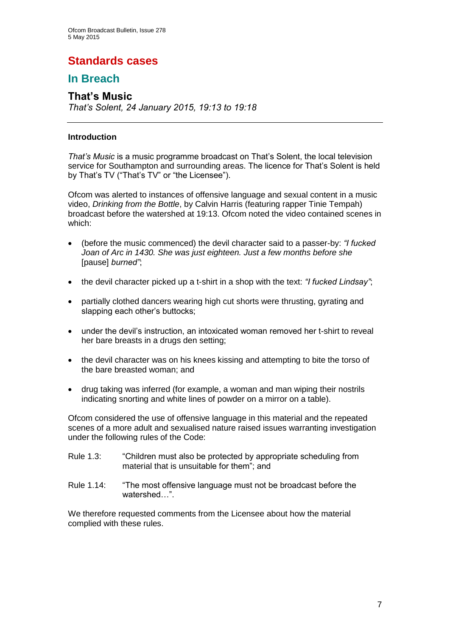# **Standards cases**

## **In Breach**

## **That's Music**

*That's Solent, 24 January 2015, 19:13 to 19:18*

#### **Introduction**

*That's Music* is a music programme broadcast on That's Solent, the local television service for Southampton and surrounding areas. The licence for That's Solent is held by That's TV ("That's TV" or "the Licensee").

Ofcom was alerted to instances of offensive language and sexual content in a music video, *Drinking from the Bottle*, by Calvin Harris (featuring rapper Tinie Tempah) broadcast before the watershed at 19:13. Ofcom noted the video contained scenes in which:

- (before the music commenced) the devil character said to a passer-by: *"I fucked Joan of Arc in 1430. She was just eighteen. Just a few months before she*  [pause] *burned"*;
- the devil character picked up a t-shirt in a shop with the text: *"I fucked Lindsay"*;
- partially clothed dancers wearing high cut shorts were thrusting, gyrating and slapping each other's buttocks:
- under the devil's instruction, an intoxicated woman removed her t-shirt to reveal her bare breasts in a drugs den setting;
- the devil character was on his knees kissing and attempting to bite the torso of the bare breasted woman; and
- drug taking was inferred (for example, a woman and man wiping their nostrils indicating snorting and white lines of powder on a mirror on a table).

Ofcom considered the use of offensive language in this material and the repeated scenes of a more adult and sexualised nature raised issues warranting investigation under the following rules of the Code:

- Rule 1.3: "Children must also be protected by appropriate scheduling from material that is unsuitable for them"; and
- Rule 1.14: "The most offensive language must not be broadcast before the watershed "

We therefore requested comments from the Licensee about how the material complied with these rules.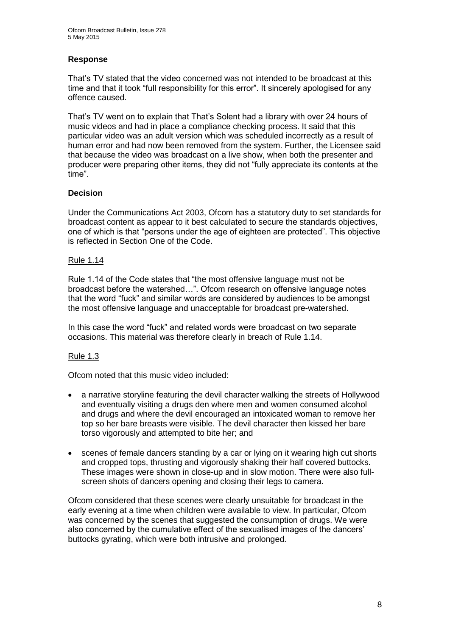#### **Response**

That's TV stated that the video concerned was not intended to be broadcast at this time and that it took "full responsibility for this error". It sincerely apologised for any offence caused.

That's TV went on to explain that That's Solent had a library with over 24 hours of music videos and had in place a compliance checking process. It said that this particular video was an adult version which was scheduled incorrectly as a result of human error and had now been removed from the system. Further, the Licensee said that because the video was broadcast on a live show, when both the presenter and producer were preparing other items, they did not "fully appreciate its contents at the time".

#### **Decision**

Under the Communications Act 2003, Ofcom has a statutory duty to set standards for broadcast content as appear to it best calculated to secure the standards objectives, one of which is that "persons under the age of eighteen are protected". This objective is reflected in Section One of the Code.

#### Rule 1.14

Rule 1.14 of the Code states that "the most offensive language must not be broadcast before the watershed…". Ofcom research on offensive language notes that the word "fuck" and similar words are considered by audiences to be amongst the most offensive language and unacceptable for broadcast pre-watershed.

In this case the word "fuck" and related words were broadcast on two separate occasions. This material was therefore clearly in breach of Rule 1.14.

#### Rule 1.3

Ofcom noted that this music video included:

- a narrative storyline featuring the devil character walking the streets of Hollywood and eventually visiting a drugs den where men and women consumed alcohol and drugs and where the devil encouraged an intoxicated woman to remove her top so her bare breasts were visible. The devil character then kissed her bare torso vigorously and attempted to bite her; and
- scenes of female dancers standing by a car or lying on it wearing high cut shorts and cropped tops, thrusting and vigorously shaking their half covered buttocks. These images were shown in close-up and in slow motion. There were also fullscreen shots of dancers opening and closing their legs to camera.

Ofcom considered that these scenes were clearly unsuitable for broadcast in the early evening at a time when children were available to view. In particular, Ofcom was concerned by the scenes that suggested the consumption of drugs. We were also concerned by the cumulative effect of the sexualised images of the dancers' buttocks gyrating, which were both intrusive and prolonged.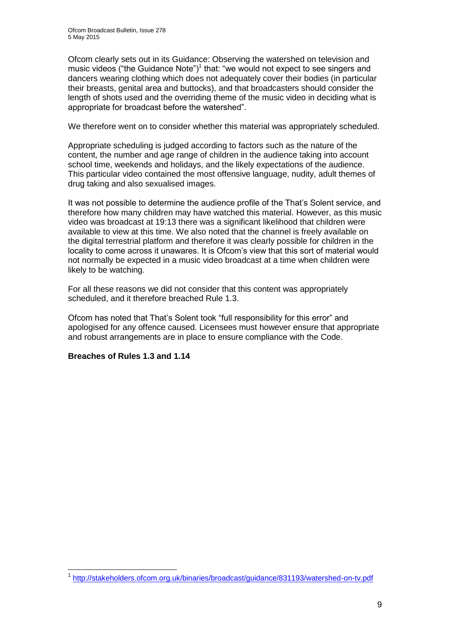Ofcom clearly sets out in its Guidance: Observing the watershed on television and music videos ("the Guidance Note")<sup>1</sup> that: "we would not expect to see singers and dancers wearing clothing which does not adequately cover their bodies (in particular their breasts, genital area and buttocks), and that broadcasters should consider the length of shots used and the overriding theme of the music video in deciding what is appropriate for broadcast before the watershed".

We therefore went on to consider whether this material was appropriately scheduled.

Appropriate scheduling is judged according to factors such as the nature of the content, the number and age range of children in the audience taking into account school time, weekends and holidays, and the likely expectations of the audience. This particular video contained the most offensive language, nudity, adult themes of drug taking and also sexualised images.

It was not possible to determine the audience profile of the That's Solent service, and therefore how many children may have watched this material. However, as this music video was broadcast at 19:13 there was a significant likelihood that children were available to view at this time. We also noted that the channel is freely available on the digital terrestrial platform and therefore it was clearly possible for children in the locality to come across it unawares. It is Ofcom's view that this sort of material would not normally be expected in a music video broadcast at a time when children were likely to be watching.

For all these reasons we did not consider that this content was appropriately scheduled, and it therefore breached Rule 1.3.

Ofcom has noted that That's Solent took "full responsibility for this error" and apologised for any offence caused. Licensees must however ensure that appropriate and robust arrangements are in place to ensure compliance with the Code.

#### **Breaches of Rules 1.3 and 1.14**

<sup>1</sup> 1 <http://stakeholders.ofcom.org.uk/binaries/broadcast/guidance/831193/watershed-on-tv.pdf>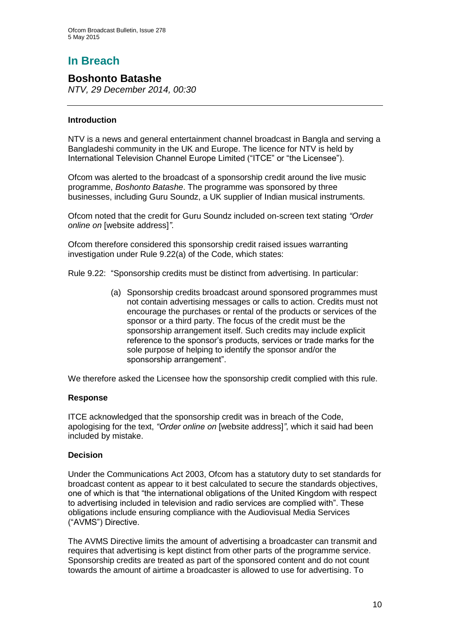# **In Breach**

## **Boshonto Batashe**

*NTV, 29 December 2014, 00:30*

#### **Introduction**

NTV is a news and general entertainment channel broadcast in Bangla and serving a Bangladeshi community in the UK and Europe. The licence for NTV is held by International Television Channel Europe Limited ("ITCE" or "the Licensee").

Ofcom was alerted to the broadcast of a sponsorship credit around the live music programme, *Boshonto Batashe*. The programme was sponsored by three businesses, including Guru Soundz, a UK supplier of Indian musical instruments.

Ofcom noted that the credit for Guru Soundz included on-screen text stating *"Order online on* [website address]*"*.

Ofcom therefore considered this sponsorship credit raised issues warranting investigation under Rule 9.22(a) of the Code, which states:

Rule 9.22: "Sponsorship credits must be distinct from advertising. In particular:

(a) Sponsorship credits broadcast around sponsored programmes must not contain advertising messages or calls to action. Credits must not encourage the purchases or rental of the products or services of the sponsor or a third party. The focus of the credit must be the sponsorship arrangement itself. Such credits may include explicit reference to the sponsor's products, services or trade marks for the sole purpose of helping to identify the sponsor and/or the sponsorship arrangement".

We therefore asked the Licensee how the sponsorship credit complied with this rule.

#### **Response**

ITCE acknowledged that the sponsorship credit was in breach of the Code, apologising for the text, *"Order online on* [website address]*"*, which it said had been included by mistake.

#### **Decision**

Under the Communications Act 2003, Ofcom has a statutory duty to set standards for broadcast content as appear to it best calculated to secure the standards objectives, one of which is that "the international obligations of the United Kingdom with respect to advertising included in television and radio services are complied with". These obligations include ensuring compliance with the Audiovisual Media Services ("AVMS") Directive.

The AVMS Directive limits the amount of advertising a broadcaster can transmit and requires that advertising is kept distinct from other parts of the programme service. Sponsorship credits are treated as part of the sponsored content and do not count towards the amount of airtime a broadcaster is allowed to use for advertising. To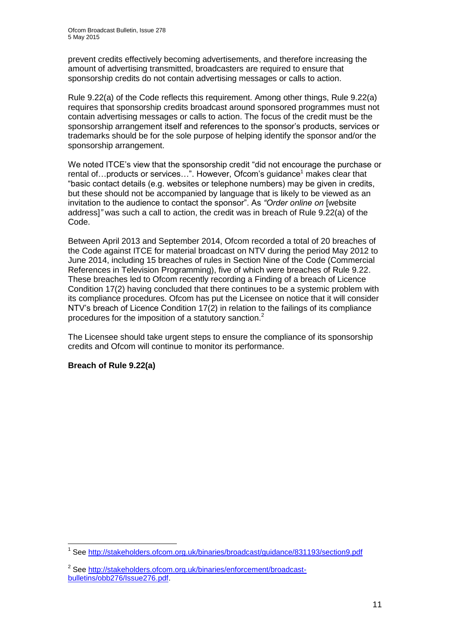prevent credits effectively becoming advertisements, and therefore increasing the amount of advertising transmitted, broadcasters are required to ensure that sponsorship credits do not contain advertising messages or calls to action.

Rule 9.22(a) of the Code reflects this requirement. Among other things, Rule 9.22(a) requires that sponsorship credits broadcast around sponsored programmes must not contain advertising messages or calls to action. The focus of the credit must be the sponsorship arrangement itself and references to the sponsor's products, services or trademarks should be for the sole purpose of helping identify the sponsor and/or the sponsorship arrangement.

We noted ITCE's view that the sponsorship credit "did not encourage the purchase or rental of... products or services...". However, Ofcom's guidance<sup>1</sup> makes clear that "basic contact details (e.g. websites or telephone numbers) may be given in credits, but these should not be accompanied by language that is likely to be viewed as an invitation to the audience to contact the sponsor". As *"Order online on* [website address]*"* was such a call to action, the credit was in breach of Rule 9.22(a) of the Code.

Between April 2013 and September 2014, Ofcom recorded a total of 20 breaches of the Code against ITCE for material broadcast on NTV during the period May 2012 to June 2014, including 15 breaches of rules in Section Nine of the Code (Commercial References in Television Programming), five of which were breaches of Rule 9.22. These breaches led to Ofcom recently recording a Finding of a breach of Licence Condition 17(2) having concluded that there continues to be a systemic problem with its compliance procedures. Ofcom has put the Licensee on notice that it will consider NTV's breach of Licence Condition 17(2) in relation to the failings of its compliance procedures for the imposition of a statutory sanction.<sup>2</sup>

The Licensee should take urgent steps to ensure the compliance of its sponsorship credits and Ofcom will continue to monitor its performance.

#### **Breach of Rule 9.22(a)**

<sup>1</sup> <sup>1</sup> See<http://stakeholders.ofcom.org.uk/binaries/broadcast/guidance/831193/section9.pdf>

<sup>&</sup>lt;sup>2</sup> See [http://stakeholders.ofcom.org.uk/binaries/enforcement/broadcast](http://stakeholders.ofcom.org.uk/binaries/enforcement/broadcast-bulletins/obb276/Issue276.pdf)[bulletins/obb276/Issue276.pdf.](http://stakeholders.ofcom.org.uk/binaries/enforcement/broadcast-bulletins/obb276/Issue276.pdf)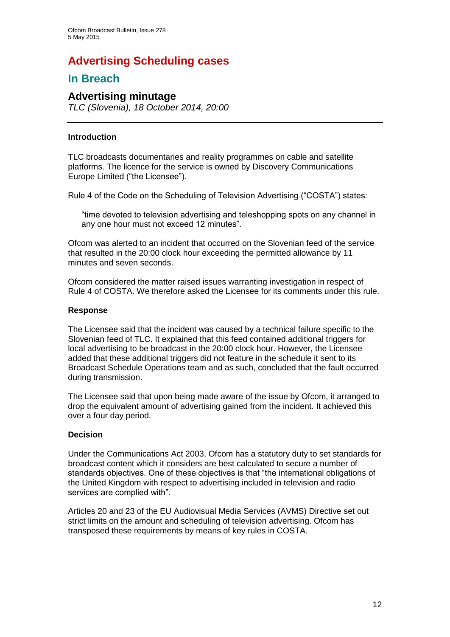# **Advertising Scheduling cases**

## **In Breach**

#### **Advertising minutage**

*TLC (Slovenia), 18 October 2014, 20:00*

#### **Introduction**

TLC broadcasts documentaries and reality programmes on cable and satellite platforms. The licence for the service is owned by Discovery Communications Europe Limited ("the Licensee").

Rule 4 of the Code on the Scheduling of Television Advertising ("COSTA") states:

"time devoted to television advertising and teleshopping spots on any channel in any one hour must not exceed 12 minutes".

Ofcom was alerted to an incident that occurred on the Slovenian feed of the service that resulted in the 20:00 clock hour exceeding the permitted allowance by 11 minutes and seven seconds.

Ofcom considered the matter raised issues warranting investigation in respect of Rule 4 of COSTA. We therefore asked the Licensee for its comments under this rule.

#### **Response**

The Licensee said that the incident was caused by a technical failure specific to the Slovenian feed of TLC. It explained that this feed contained additional triggers for local advertising to be broadcast in the 20:00 clock hour. However, the Licensee added that these additional triggers did not feature in the schedule it sent to its Broadcast Schedule Operations team and as such, concluded that the fault occurred during transmission.

The Licensee said that upon being made aware of the issue by Ofcom, it arranged to drop the equivalent amount of advertising gained from the incident. It achieved this over a four day period.

#### **Decision**

Under the Communications Act 2003, Ofcom has a statutory duty to set standards for broadcast content which it considers are best calculated to secure a number of standards objectives. One of these objectives is that "the international obligations of the United Kingdom with respect to advertising included in television and radio services are complied with".

Articles 20 and 23 of the EU Audiovisual Media Services (AVMS) Directive set out strict limits on the amount and scheduling of television advertising. Ofcom has transposed these requirements by means of key rules in COSTA.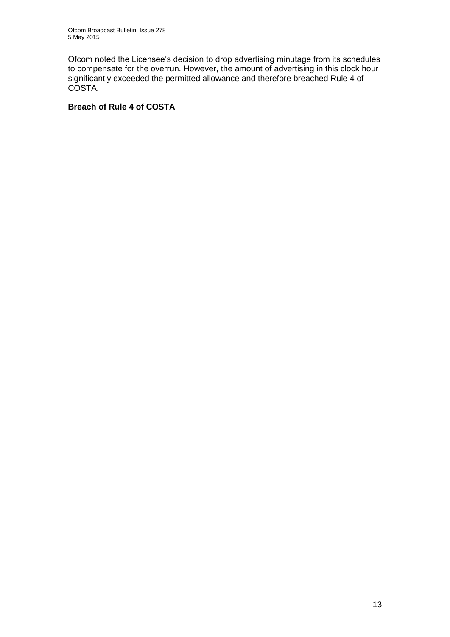Ofcom noted the Licensee's decision to drop advertising minutage from its schedules to compensate for the overrun. However, the amount of advertising in this clock hour significantly exceeded the permitted allowance and therefore breached Rule 4 of COSTA.

#### **Breach of Rule 4 of COSTA**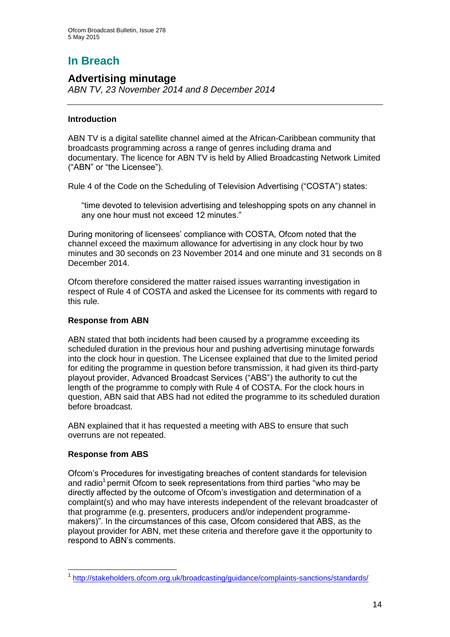# **In Breach**

## **Advertising minutage**

*ABN TV, 23 November 2014 and 8 December 2014*

#### **Introduction**

ABN TV is a digital satellite channel aimed at the African-Caribbean community that broadcasts programming across a range of genres including drama and documentary. The licence for ABN TV is held by Allied Broadcasting Network Limited ("ABN" or "the Licensee").

Rule 4 of the Code on the Scheduling of Television Advertising ("COSTA") states:

"time devoted to television advertising and teleshopping spots on any channel in any one hour must not exceed 12 minutes."

During monitoring of licensees' compliance with COSTA, Ofcom noted that the channel exceed the maximum allowance for advertising in any clock hour by two minutes and 30 seconds on 23 November 2014 and one minute and 31 seconds on 8 December 2014.

Ofcom therefore considered the matter raised issues warranting investigation in respect of Rule 4 of COSTA and asked the Licensee for its comments with regard to this rule.

#### **Response from ABN**

ABN stated that both incidents had been caused by a programme exceeding its scheduled duration in the previous hour and pushing advertising minutage forwards into the clock hour in question. The Licensee explained that due to the limited period for editing the programme in question before transmission, it had given its third-party playout provider, Advanced Broadcast Services ("ABS") the authority to cut the length of the programme to comply with Rule 4 of COSTA. For the clock hours in question, ABN said that ABS had not edited the programme to its scheduled duration before broadcast.

ABN explained that it has requested a meeting with ABS to ensure that such overruns are not repeated.

#### **Response from ABS**

Ofcom's Procedures for investigating breaches of content standards for television and radio<sup>1</sup> permit Ofcom to seek representations from third parties "who may be directly affected by the outcome of Ofcom's investigation and determination of a complaint(s) and who may have interests independent of the relevant broadcaster of that programme (e.g. presenters, producers and/or independent programmemakers)". In the circumstances of this case, Ofcom considered that ABS, as the playout provider for ABN, met these criteria and therefore gave it the opportunity to respond to ABN's comments.

<sup>1</sup> <sup>1</sup> <http://stakeholders.ofcom.org.uk/broadcasting/guidance/complaints-sanctions/standards/>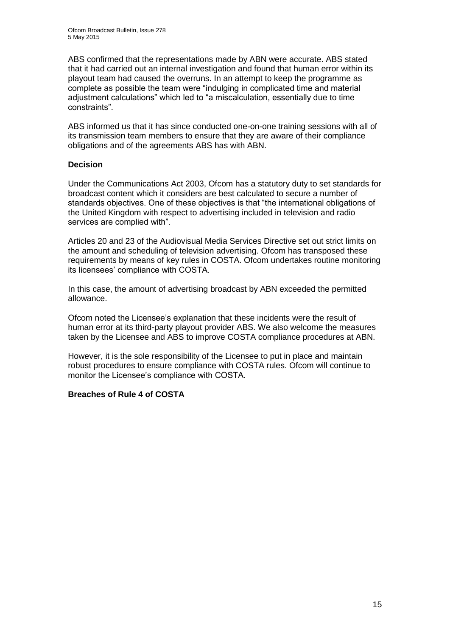ABS confirmed that the representations made by ABN were accurate. ABS stated that it had carried out an internal investigation and found that human error within its playout team had caused the overruns. In an attempt to keep the programme as complete as possible the team were "indulging in complicated time and material adjustment calculations" which led to "a miscalculation, essentially due to time constraints".

ABS informed us that it has since conducted one-on-one training sessions with all of its transmission team members to ensure that they are aware of their compliance obligations and of the agreements ABS has with ABN.

#### **Decision**

Under the Communications Act 2003, Ofcom has a statutory duty to set standards for broadcast content which it considers are best calculated to secure a number of standards objectives. One of these objectives is that "the international obligations of the United Kingdom with respect to advertising included in television and radio services are complied with".

Articles 20 and 23 of the Audiovisual Media Services Directive set out strict limits on the amount and scheduling of television advertising. Ofcom has transposed these requirements by means of key rules in COSTA. Ofcom undertakes routine monitoring its licensees' compliance with COSTA.

In this case, the amount of advertising broadcast by ABN exceeded the permitted allowance.

Ofcom noted the Licensee's explanation that these incidents were the result of human error at its third-party playout provider ABS. We also welcome the measures taken by the Licensee and ABS to improve COSTA compliance procedures at ABN.

However, it is the sole responsibility of the Licensee to put in place and maintain robust procedures to ensure compliance with COSTA rules. Ofcom will continue to monitor the Licensee's compliance with COSTA.

#### **Breaches of Rule 4 of COSTA**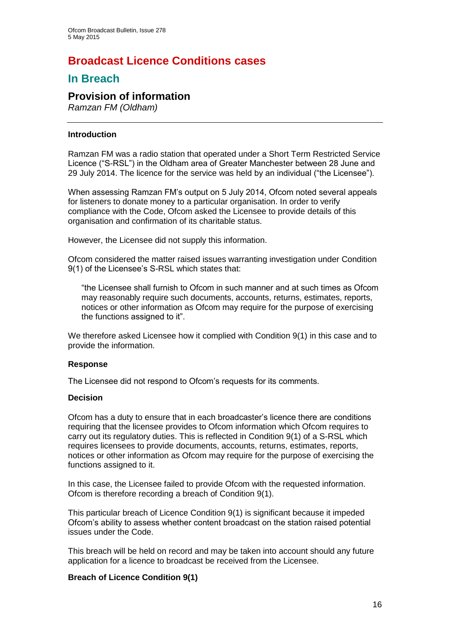# **Broadcast Licence Conditions cases**

## **In Breach**

## **Provision of information**

*Ramzan FM (Oldham)*

#### **Introduction**

Ramzan FM was a radio station that operated under a Short Term Restricted Service Licence ("S-RSL") in the Oldham area of Greater Manchester between 28 June and 29 July 2014. The licence for the service was held by an individual ("the Licensee").

When assessing Ramzan FM's output on 5 July 2014, Ofcom noted several appeals for listeners to donate money to a particular organisation. In order to verify compliance with the Code, Ofcom asked the Licensee to provide details of this organisation and confirmation of its charitable status.

However, the Licensee did not supply this information.

Ofcom considered the matter raised issues warranting investigation under Condition 9(1) of the Licensee's S-RSL which states that:

"the Licensee shall furnish to Ofcom in such manner and at such times as Ofcom may reasonably require such documents, accounts, returns, estimates, reports, notices or other information as Ofcom may require for the purpose of exercising the functions assigned to it".

We therefore asked Licensee how it complied with Condition 9(1) in this case and to provide the information.

#### **Response**

The Licensee did not respond to Ofcom's requests for its comments.

#### **Decision**

Ofcom has a duty to ensure that in each broadcaster's licence there are conditions requiring that the licensee provides to Ofcom information which Ofcom requires to carry out its regulatory duties. This is reflected in Condition 9(1) of a S-RSL which requires licensees to provide documents, accounts, returns, estimates, reports, notices or other information as Ofcom may require for the purpose of exercising the functions assigned to it.

In this case, the Licensee failed to provide Ofcom with the requested information. Ofcom is therefore recording a breach of Condition 9(1).

This particular breach of Licence Condition 9(1) is significant because it impeded Ofcom's ability to assess whether content broadcast on the station raised potential issues under the Code.

This breach will be held on record and may be taken into account should any future application for a licence to broadcast be received from the Licensee.

#### **Breach of Licence Condition 9(1)**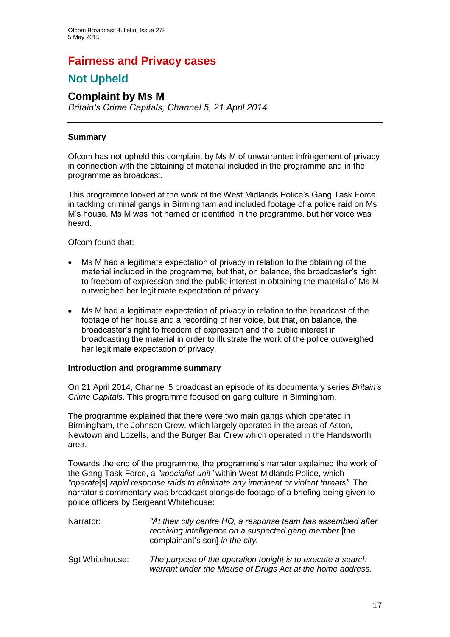## **Fairness and Privacy cases**

# **Not Upheld**

#### **Complaint by Ms M** *Britain's Crime Capitals, Channel 5, 21 April 2014*

#### **Summary**

Ofcom has not upheld this complaint by Ms M of unwarranted infringement of privacy in connection with the obtaining of material included in the programme and in the programme as broadcast.

This programme looked at the work of the West Midlands Police's Gang Task Force in tackling criminal gangs in Birmingham and included footage of a police raid on Ms M's house. Ms M was not named or identified in the programme, but her voice was heard.

Ofcom found that:

- Ms M had a legitimate expectation of privacy in relation to the obtaining of the material included in the programme, but that, on balance, the broadcaster's right to freedom of expression and the public interest in obtaining the material of Ms M outweighed her legitimate expectation of privacy.
- Ms M had a legitimate expectation of privacy in relation to the broadcast of the footage of her house and a recording of her voice, but that, on balance, the broadcaster's right to freedom of expression and the public interest in broadcasting the material in order to illustrate the work of the police outweighed her legitimate expectation of privacy.

#### **Introduction and programme summary**

On 21 April 2014, Channel 5 broadcast an episode of its documentary series *Britain's Crime Capitals*. This programme focused on gang culture in Birmingham.

The programme explained that there were two main gangs which operated in Birmingham, the Johnson Crew, which largely operated in the areas of Aston, Newtown and Lozells, and the Burger Bar Crew which operated in the Handsworth area.

Towards the end of the programme, the programme's narrator explained the work of the Gang Task Force, a *"specialist unit"* within West Midlands Police, which *"operate*[s] *rapid response raids to eliminate any imminent or violent threats"*. The narrator's commentary was broadcast alongside footage of a briefing being given to police officers by Sergeant Whitehouse:

| Narrator: | "At their city centre HQ, a response team has assembled after |
|-----------|---------------------------------------------------------------|
|           | receiving intelligence on a suspected gang member [the        |
|           | complainant's son] in the city.                               |
|           |                                                               |

Sgt Whitehouse: *The purpose of the operation tonight is to execute a search warrant under the Misuse of Drugs Act at the home address.*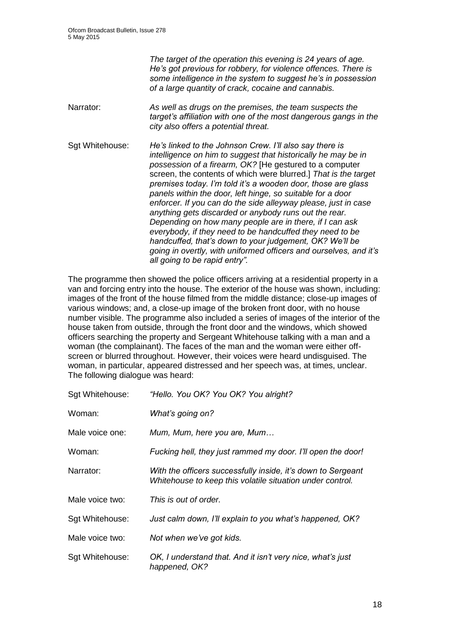|                 | The target of the operation this evening is 24 years of age.<br>He's got previous for robbery, for violence offences. There is<br>some intelligence in the system to suggest he's in possession<br>of a large quantity of crack, cocaine and cannabis.                                                                                                                                                                                                                                                                                                                                                                                                                                                                                                                                                  |
|-----------------|---------------------------------------------------------------------------------------------------------------------------------------------------------------------------------------------------------------------------------------------------------------------------------------------------------------------------------------------------------------------------------------------------------------------------------------------------------------------------------------------------------------------------------------------------------------------------------------------------------------------------------------------------------------------------------------------------------------------------------------------------------------------------------------------------------|
| Narrator:       | As well as drugs on the premises, the team suspects the<br>target's affiliation with one of the most dangerous gangs in the<br>city also offers a potential threat.                                                                                                                                                                                                                                                                                                                                                                                                                                                                                                                                                                                                                                     |
| Sgt Whitehouse: | He's linked to the Johnson Crew. I'll also say there is<br>intelligence on him to suggest that historically he may be in<br>possession of a firearm, OK? [He gestured to a computer<br>screen, the contents of which were blurred.] That is the target<br>premises today. I'm told it's a wooden door, those are glass<br>panels within the door, left hinge, so suitable for a door<br>enforcer. If you can do the side alleyway please, just in case<br>anything gets discarded or anybody runs out the rear.<br>Depending on how many people are in there, if I can ask<br>everybody, if they need to be handcuffed they need to be<br>handcuffed, that's down to your judgement, OK? We'll be<br>going in overtly, with uniformed officers and ourselves, and it's<br>all going to be rapid entry". |

The programme then showed the police officers arriving at a residential property in a van and forcing entry into the house. The exterior of the house was shown, including: images of the front of the house filmed from the middle distance; close-up images of various windows; and, a close-up image of the broken front door, with no house number visible. The programme also included a series of images of the interior of the house taken from outside, through the front door and the windows, which showed officers searching the property and Sergeant Whitehouse talking with a man and a woman (the complainant). The faces of the man and the woman were either offscreen or blurred throughout. However, their voices were heard undisguised. The woman, in particular, appeared distressed and her speech was, at times, unclear. The following dialogue was heard:

| Sgt Whitehouse: | "Hello. You OK? You OK? You alright?                                                                                      |
|-----------------|---------------------------------------------------------------------------------------------------------------------------|
| Woman:          | What's going on?                                                                                                          |
| Male voice one: | Mum, Mum, here you are, Mum                                                                                               |
| Woman:          | Fucking hell, they just rammed my door. I'll open the door!                                                               |
| Narrator:       | With the officers successfully inside, it's down to Sergeant<br>Whitehouse to keep this volatile situation under control. |
| Male voice two: | This is out of order.                                                                                                     |
| Sgt Whitehouse: | Just calm down, I'll explain to you what's happened, OK?                                                                  |
| Male voice two: | Not when we've got kids.                                                                                                  |
| Sgt Whitehouse: | OK, I understand that. And it isn't very nice, what's just<br>happened, OK?                                               |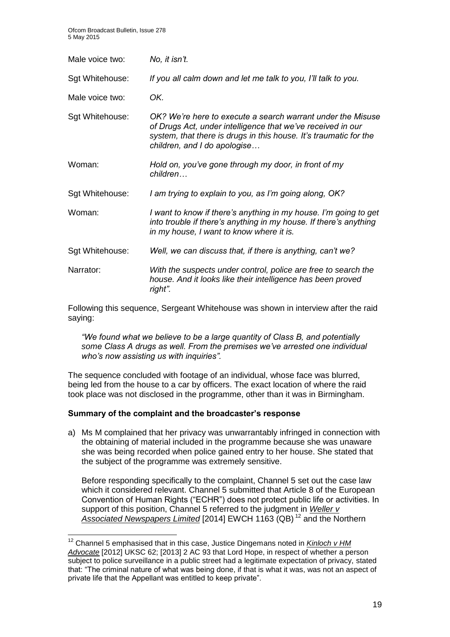| Male voice two: | No, it isn't.                                                                                                                                                                                                                   |
|-----------------|---------------------------------------------------------------------------------------------------------------------------------------------------------------------------------------------------------------------------------|
| Sgt Whitehouse: | If you all calm down and let me talk to you, I'll talk to you.                                                                                                                                                                  |
| Male voice two: | OK.                                                                                                                                                                                                                             |
| Sgt Whitehouse: | OK? We're here to execute a search warrant under the Misuse<br>of Drugs Act, under intelligence that we've received in our<br>system, that there is drugs in this house. It's traumatic for the<br>children, and I do apologise |
| Woman:          | Hold on, you've gone through my door, in front of my<br>children                                                                                                                                                                |
| Sgt Whitehouse: | I am trying to explain to you, as I'm going along, OK?                                                                                                                                                                          |
| Woman:          | I want to know if there's anything in my house. I'm going to get<br>into trouble if there's anything in my house. If there's anything<br>in my house, I want to know where it is.                                               |
| Sgt Whitehouse: | Well, we can discuss that, if there is anything, can't we?                                                                                                                                                                      |
| Narrator:       | With the suspects under control, police are free to search the<br>house. And it looks like their intelligence has been proved<br>right".                                                                                        |

Following this sequence, Sergeant Whitehouse was shown in interview after the raid saying:

*"We found what we believe to be a large quantity of Class B, and potentially some Class A drugs as well. From the premises we've arrested one individual who's now assisting us with inquiries".*

The sequence concluded with footage of an individual, whose face was blurred, being led from the house to a car by officers. The exact location of where the raid took place was not disclosed in the programme, other than it was in Birmingham.

#### **Summary of the complaint and the broadcaster's response**

1

a) Ms M complained that her privacy was unwarrantably infringed in connection with the obtaining of material included in the programme because she was unaware she was being recorded when police gained entry to her house. She stated that the subject of the programme was extremely sensitive.

Before responding specifically to the complaint, Channel 5 set out the case law which it considered relevant. Channel 5 submitted that Article 8 of the European Convention of Human Rights ("ECHR") does not protect public life or activities. In support of this position, Channel 5 referred to the judgment in *Weller v*  Associated Newspapers Limited [2014] EWCH 1163 (QB)<sup>12</sup> and the Northern

<sup>&</sup>lt;sup>12</sup> Channel 5 emphasised that in this case, Justice Dingemans noted in *Kinloch v HM Advocate* [2012] UKSC 62; [2013] 2 AC 93 that Lord Hope, in respect of whether a person subject to police surveillance in a public street had a legitimate expectation of privacy, stated that: "The criminal nature of what was being done, if that is what it was, was not an aspect of private life that the Appellant was entitled to keep private".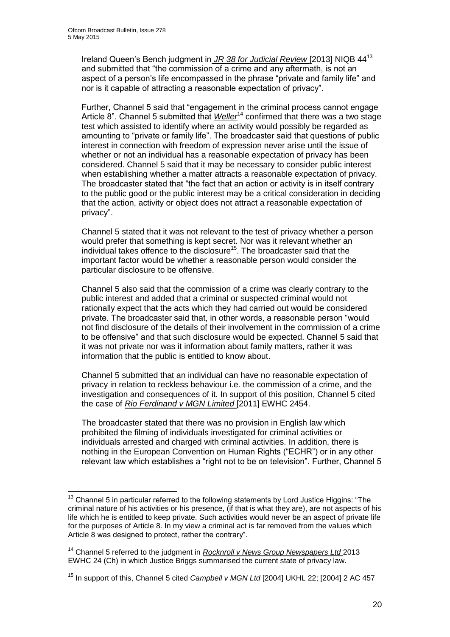Ireland Queen's Bench judgment in *JR 38 for Judicial Review* [2013] NIQB 44<sup>13</sup> and submitted that "the commission of a crime and any aftermath, is not an aspect of a person's life encompassed in the phrase "private and family life" and nor is it capable of attracting a reasonable expectation of privacy".

Further, Channel 5 said that "engagement in the criminal process cannot engage Article 8". Channel 5 submitted that *Weller*<sup>14</sup> confirmed that there was a two stage test which assisted to identify where an activity would possibly be regarded as amounting to "private or family life". The broadcaster said that questions of public interest in connection with freedom of expression never arise until the issue of whether or not an individual has a reasonable expectation of privacy has been considered. Channel 5 said that it may be necessary to consider public interest when establishing whether a matter attracts a reasonable expectation of privacy. The broadcaster stated that "the fact that an action or activity is in itself contrary to the public good or the public interest may be a critical consideration in deciding that the action, activity or object does not attract a reasonable expectation of privacy".

Channel 5 stated that it was not relevant to the test of privacy whether a person would prefer that something is kept secret. Nor was it relevant whether an individual takes offence to the disclosure<sup>15</sup>. The broadcaster said that the important factor would be whether a reasonable person would consider the particular disclosure to be offensive.

Channel 5 also said that the commission of a crime was clearly contrary to the public interest and added that a criminal or suspected criminal would not rationally expect that the acts which they had carried out would be considered private. The broadcaster said that, in other words, a reasonable person "would not find disclosure of the details of their involvement in the commission of a crime to be offensive" and that such disclosure would be expected. Channel 5 said that it was not private nor was it information about family matters, rather it was information that the public is entitled to know about.

Channel 5 submitted that an individual can have no reasonable expectation of privacy in relation to reckless behaviour i.e. the commission of a crime, and the investigation and consequences of it. In support of this position, Channel 5 cited the case of *Rio Ferdinand v MGN Limited* [2011] EWHC 2454.

The broadcaster stated that there was no provision in English law which prohibited the filming of individuals investigated for criminal activities or individuals arrested and charged with criminal activities. In addition, there is nothing in the European Convention on Human Rights ("ECHR") or in any other relevant law which establishes a "right not to be on television". Further, Channel 5

<sup>1</sup> <sup>13</sup> Channel 5 in particular referred to the following statements by Lord Justice Higgins: "The criminal nature of his activities or his presence, (if that is what they are), are not aspects of his life which he is entitled to keep private. Such activities would never be an aspect of private life for the purposes of Article 8. In my view a criminal act is far removed from the values which Article 8 was designed to protect, rather the contrary".

<sup>14</sup> Channel 5 referred to the judgment in *Rocknroll v News Group Newspapers Ltd* 2013 EWHC 24 (Ch) in which Justice Briggs summarised the current state of privacy law.

<sup>15</sup> In support of this, Channel 5 cited *Campbell v MGN Ltd* [2004] UKHL 22; [2004] 2 AC 457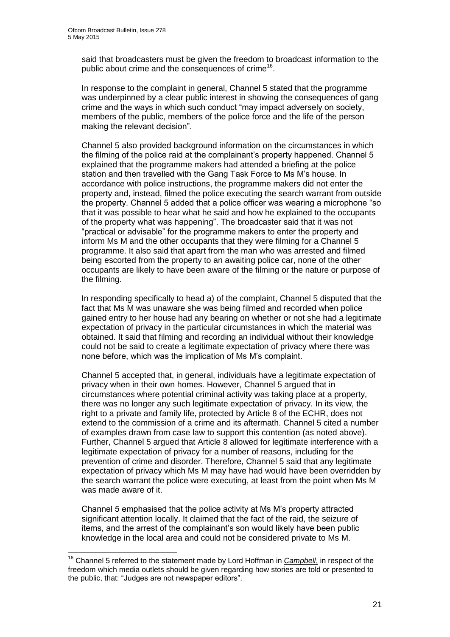1

said that broadcasters must be given the freedom to broadcast information to the public about crime and the consequences of crime<sup>16</sup>.

In response to the complaint in general, Channel 5 stated that the programme was underpinned by a clear public interest in showing the consequences of gang crime and the ways in which such conduct "may impact adversely on society, members of the public, members of the police force and the life of the person making the relevant decision".

Channel 5 also provided background information on the circumstances in which the filming of the police raid at the complainant's property happened. Channel 5 explained that the programme makers had attended a briefing at the police station and then travelled with the Gang Task Force to Ms M's house. In accordance with police instructions, the programme makers did not enter the property and, instead, filmed the police executing the search warrant from outside the property. Channel 5 added that a police officer was wearing a microphone "so that it was possible to hear what he said and how he explained to the occupants of the property what was happening". The broadcaster said that it was not "practical or advisable" for the programme makers to enter the property and inform Ms M and the other occupants that they were filming for a Channel 5 programme. It also said that apart from the man who was arrested and filmed being escorted from the property to an awaiting police car, none of the other occupants are likely to have been aware of the filming or the nature or purpose of the filming.

In responding specifically to head a) of the complaint, Channel 5 disputed that the fact that Ms M was unaware she was being filmed and recorded when police gained entry to her house had any bearing on whether or not she had a legitimate expectation of privacy in the particular circumstances in which the material was obtained. It said that filming and recording an individual without their knowledge could not be said to create a legitimate expectation of privacy where there was none before, which was the implication of Ms M's complaint.

Channel 5 accepted that, in general, individuals have a legitimate expectation of privacy when in their own homes. However, Channel 5 argued that in circumstances where potential criminal activity was taking place at a property, there was no longer any such legitimate expectation of privacy. In its view, the right to a private and family life, protected by Article 8 of the ECHR, does not extend to the commission of a crime and its aftermath. Channel 5 cited a number of examples drawn from case law to support this contention (as noted above). Further, Channel 5 argued that Article 8 allowed for legitimate interference with a legitimate expectation of privacy for a number of reasons, including for the prevention of crime and disorder. Therefore, Channel 5 said that any legitimate expectation of privacy which Ms M may have had would have been overridden by the search warrant the police were executing, at least from the point when Ms M was made aware of it.

Channel 5 emphasised that the police activity at Ms M's property attracted significant attention locally. It claimed that the fact of the raid, the seizure of items, and the arrest of the complainant's son would likely have been public knowledge in the local area and could not be considered private to Ms M.

<sup>&</sup>lt;sup>16</sup> Channel 5 referred to the statement made by Lord Hoffman in *Campbell*, in respect of the freedom which media outlets should be given regarding how stories are told or presented to the public, that: "Judges are not newspaper editors".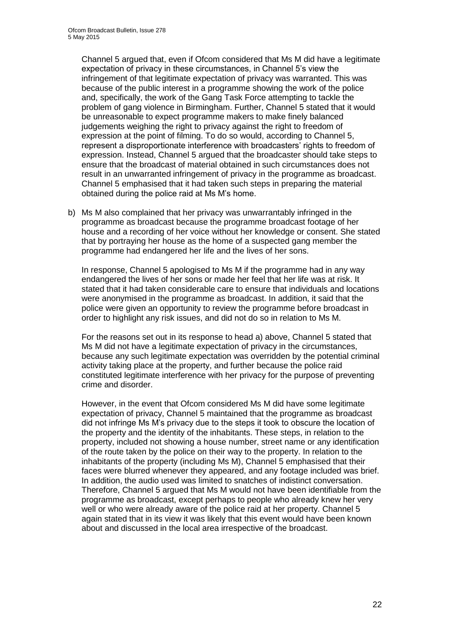Channel 5 argued that, even if Ofcom considered that Ms M did have a legitimate expectation of privacy in these circumstances, in Channel 5's view the infringement of that legitimate expectation of privacy was warranted. This was because of the public interest in a programme showing the work of the police and, specifically, the work of the Gang Task Force attempting to tackle the problem of gang violence in Birmingham. Further, Channel 5 stated that it would be unreasonable to expect programme makers to make finely balanced judgements weighing the right to privacy against the right to freedom of expression at the point of filming. To do so would, according to Channel 5, represent a disproportionate interference with broadcasters' rights to freedom of expression. Instead, Channel 5 argued that the broadcaster should take steps to ensure that the broadcast of material obtained in such circumstances does not result in an unwarranted infringement of privacy in the programme as broadcast. Channel 5 emphasised that it had taken such steps in preparing the material obtained during the police raid at Ms M's home.

b) Ms M also complained that her privacy was unwarrantably infringed in the programme as broadcast because the programme broadcast footage of her house and a recording of her voice without her knowledge or consent. She stated that by portraying her house as the home of a suspected gang member the programme had endangered her life and the lives of her sons.

In response, Channel 5 apologised to Ms M if the programme had in any way endangered the lives of her sons or made her feel that her life was at risk. It stated that it had taken considerable care to ensure that individuals and locations were anonymised in the programme as broadcast. In addition, it said that the police were given an opportunity to review the programme before broadcast in order to highlight any risk issues, and did not do so in relation to Ms M.

For the reasons set out in its response to head a) above, Channel 5 stated that Ms M did not have a legitimate expectation of privacy in the circumstances, because any such legitimate expectation was overridden by the potential criminal activity taking place at the property, and further because the police raid constituted legitimate interference with her privacy for the purpose of preventing crime and disorder.

However, in the event that Ofcom considered Ms M did have some legitimate expectation of privacy, Channel 5 maintained that the programme as broadcast did not infringe Ms M's privacy due to the steps it took to obscure the location of the property and the identity of the inhabitants. These steps, in relation to the property, included not showing a house number, street name or any identification of the route taken by the police on their way to the property. In relation to the inhabitants of the property (including Ms M), Channel 5 emphasised that their faces were blurred whenever they appeared, and any footage included was brief. In addition, the audio used was limited to snatches of indistinct conversation. Therefore, Channel 5 argued that Ms M would not have been identifiable from the programme as broadcast, except perhaps to people who already knew her very well or who were already aware of the police raid at her property. Channel 5 again stated that in its view it was likely that this event would have been known about and discussed in the local area irrespective of the broadcast.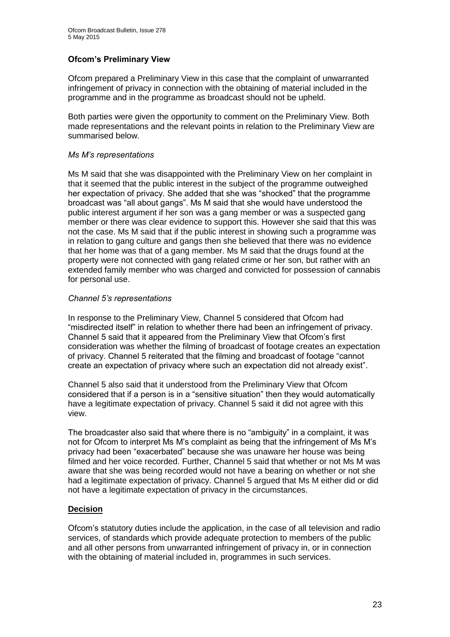#### **Ofcom's Preliminary View**

Ofcom prepared a Preliminary View in this case that the complaint of unwarranted infringement of privacy in connection with the obtaining of material included in the programme and in the programme as broadcast should not be upheld.

Both parties were given the opportunity to comment on the Preliminary View. Both made representations and the relevant points in relation to the Preliminary View are summarised below.

#### *Ms M's representations*

Ms M said that she was disappointed with the Preliminary View on her complaint in that it seemed that the public interest in the subject of the programme outweighed her expectation of privacy. She added that she was "shocked" that the programme broadcast was "all about gangs". Ms M said that she would have understood the public interest argument if her son was a gang member or was a suspected gang member or there was clear evidence to support this. However she said that this was not the case. Ms M said that if the public interest in showing such a programme was in relation to gang culture and gangs then she believed that there was no evidence that her home was that of a gang member. Ms M said that the drugs found at the property were not connected with gang related crime or her son, but rather with an extended family member who was charged and convicted for possession of cannabis for personal use.

#### *Channel 5's representations*

In response to the Preliminary View, Channel 5 considered that Ofcom had "misdirected itself" in relation to whether there had been an infringement of privacy. Channel 5 said that it appeared from the Preliminary View that Ofcom's first consideration was whether the filming of broadcast of footage creates an expectation of privacy. Channel 5 reiterated that the filming and broadcast of footage "cannot create an expectation of privacy where such an expectation did not already exist".

Channel 5 also said that it understood from the Preliminary View that Ofcom considered that if a person is in a "sensitive situation" then they would automatically have a legitimate expectation of privacy. Channel 5 said it did not agree with this view.

The broadcaster also said that where there is no "ambiguity" in a complaint, it was not for Ofcom to interpret Ms M's complaint as being that the infringement of Ms M's privacy had been "exacerbated" because she was unaware her house was being filmed and her voice recorded. Further, Channel 5 said that whether or not Ms M was aware that she was being recorded would not have a bearing on whether or not she had a legitimate expectation of privacy. Channel 5 argued that Ms M either did or did not have a legitimate expectation of privacy in the circumstances.

#### **Decision**

Ofcom's statutory duties include the application, in the case of all television and radio services, of standards which provide adequate protection to members of the public and all other persons from unwarranted infringement of privacy in, or in connection with the obtaining of material included in, programmes in such services.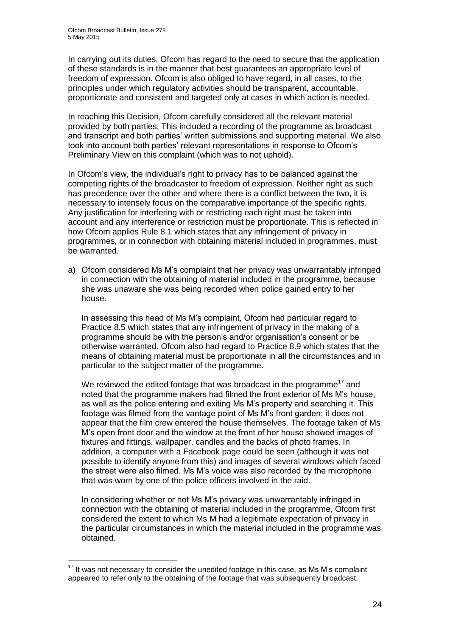In carrying out its duties, Ofcom has regard to the need to secure that the application of these standards is in the manner that best guarantees an appropriate level of freedom of expression. Ofcom is also obliged to have regard, in all cases, to the principles under which regulatory activities should be transparent, accountable, proportionate and consistent and targeted only at cases in which action is needed.

In reaching this Decision, Ofcom carefully considered all the relevant material provided by both parties. This included a recording of the programme as broadcast and transcript and both parties' written submissions and supporting material. We also took into account both parties' relevant representations in response to Ofcom's Preliminary View on this complaint (which was to not uphold).

In Ofcom's view, the individual's right to privacy has to be balanced against the competing rights of the broadcaster to freedom of expression. Neither right as such has precedence over the other and where there is a conflict between the two, it is necessary to intensely focus on the comparative importance of the specific rights. Any justification for interfering with or restricting each right must be taken into account and any interference or restriction must be proportionate. This is reflected in how Ofcom applies Rule 8.1 which states that any infringement of privacy in programmes, or in connection with obtaining material included in programmes, must be warranted.

a) Ofcom considered Ms M's complaint that her privacy was unwarrantably infringed in connection with the obtaining of material included in the programme, because she was unaware she was being recorded when police gained entry to her house.

In assessing this head of Ms M's complaint, Ofcom had particular regard to Practice 8.5 which states that any infringement of privacy in the making of a programme should be with the person's and/or organisation's consent or be otherwise warranted. Ofcom also had regard to Practice 8.9 which states that the means of obtaining material must be proportionate in all the circumstances and in particular to the subject matter of the programme.

We reviewed the edited footage that was broadcast in the programme<sup>17</sup> and noted that the programme makers had filmed the front exterior of Ms M's house, as well as the police entering and exiting Ms M's property and searching it. This footage was filmed from the vantage point of Ms M's front garden; it does not appear that the film crew entered the house themselves. The footage taken of Ms M's open front door and the window at the front of her house showed images of fixtures and fittings, wallpaper, candles and the backs of photo frames. In addition, a computer with a Facebook page could be seen (although it was not possible to identify anyone from this) and images of several windows which faced the street were also filmed. Ms M's voice was also recorded by the microphone that was worn by one of the police officers involved in the raid.

In considering whether or not Ms M's privacy was unwarrantably infringed in connection with the obtaining of material included in the programme, Ofcom first considered the extent to which Ms M had a legitimate expectation of privacy in the particular circumstances in which the material included in the programme was obtained.

1

 $17$  It was not necessary to consider the unedited footage in this case, as Ms M's complaint appeared to refer only to the obtaining of the footage that was subsequently broadcast.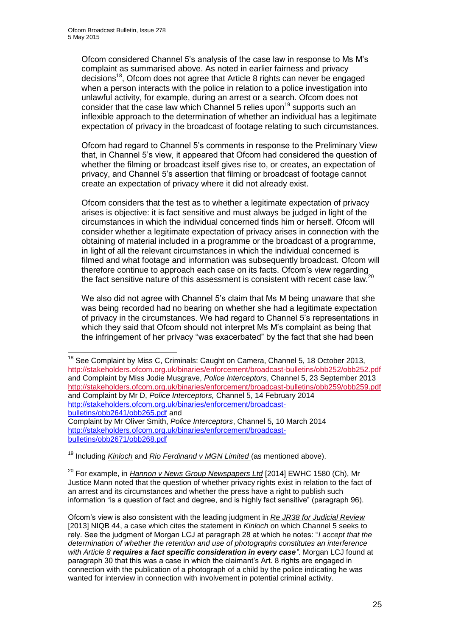<u>.</u>

Ofcom considered Channel 5's analysis of the case law in response to Ms M's complaint as summarised above. As noted in earlier fairness and privacy decisions<sup>18</sup>, Ofcom does not agree that Article 8 rights can never be engaged when a person interacts with the police in relation to a police investigation into unlawful activity, for example, during an arrest or a search. Ofcom does not consider that the case law which Channel 5 relies upon<sup>19</sup> supports such an inflexible approach to the determination of whether an individual has a legitimate expectation of privacy in the broadcast of footage relating to such circumstances.

Ofcom had regard to Channel 5's comments in response to the Preliminary View that, in Channel 5's view, it appeared that Ofcom had considered the question of whether the filming or broadcast itself gives rise to, or creates, an expectation of privacy, and Channel 5's assertion that filming or broadcast of footage cannot create an expectation of privacy where it did not already exist.

Ofcom considers that the test as to whether a legitimate expectation of privacy arises is objective: it is fact sensitive and must always be judged in light of the circumstances in which the individual concerned finds him or herself. Ofcom will consider whether a legitimate expectation of privacy arises in connection with the obtaining of material included in a programme or the broadcast of a programme, in light of all the relevant circumstances in which the individual concerned is filmed and what footage and information was subsequently broadcast. Ofcom will therefore continue to approach each case on its facts. Ofcom's view regarding the fact sensitive nature of this assessment is consistent with recent case law.<sup>20</sup>

We also did not agree with Channel 5's claim that Ms M being unaware that she was being recorded had no bearing on whether she had a legitimate expectation of privacy in the circumstances. We had regard to Channel 5's representations in which they said that Ofcom should not interpret Ms M's complaint as being that the infringement of her privacy "was exacerbated" by the fact that she had been

[http://stakeholders.ofcom.org.uk/binaries/enforcement/broadcast](http://stakeholders.ofcom.org.uk/binaries/enforcement/broadcast-bulletins/obb2671/obb268.pdf)[bulletins/obb2671/obb268.pdf](http://stakeholders.ofcom.org.uk/binaries/enforcement/broadcast-bulletins/obb2671/obb268.pdf)

<sup>19</sup> Including *Kinloch* and *Rio Ferdinand v MGN Limited* (as mentioned above).

<sup>20</sup> For example, in *Hannon v News Group Newspapers Ltd* [2014] EWHC 1580 (Ch), Mr Justice Mann noted that the question of whether privacy rights exist in relation to the fact of an arrest and its circumstances and whether the press have a right to publish such information "is a question of fact and degree, and is highly fact sensitive" (paragraph 96).

Ofcom's view is also consistent with the leading judgment in *Re JR38 for Judicial Review* [2013] NIQB 44, a case which cites the statement in *Kinloch* on which Channel 5 seeks to rely. See the judgment of Morgan LCJ at paragraph 28 at which he notes: "*I accept that the determination of whether the retention and use of photographs constitutes an interference with Article 8 requires a fact specific consideration in every case"*. Morgan LCJ found at paragraph 30 that this was a case in which the claimant's Art. 8 rights are engaged in connection with the publication of a photograph of a child by the police indicating he was wanted for interview in connection with involvement in potential criminal activity.

 $18$  See Complaint by Miss C, Criminals: Caught on Camera, Channel 5, 18 October 2013, <http://stakeholders.ofcom.org.uk/binaries/enforcement/broadcast-bulletins/obb252/obb252.pdf> and Complaint by Miss Jodie Musgrave, *Police Interceptors*, Channel 5, 23 September 2013 <http://stakeholders.ofcom.org.uk/binaries/enforcement/broadcast-bulletins/obb259/obb259.pdf> and Complaint by Mr D, *Police Interceptors,* Channel 5, 14 February 2014 [http://stakeholders.ofcom.org.uk/binaries/enforcement/broadcast](http://stakeholders.ofcom.org.uk/binaries/enforcement/broadcast-bulletins/obb2641/obb265.pdf)[bulletins/obb2641/obb265.pdf](http://stakeholders.ofcom.org.uk/binaries/enforcement/broadcast-bulletins/obb2641/obb265.pdf) and Complaint by Mr Oliver Smith, *Police Interceptors*, Channel 5, 10 March 2014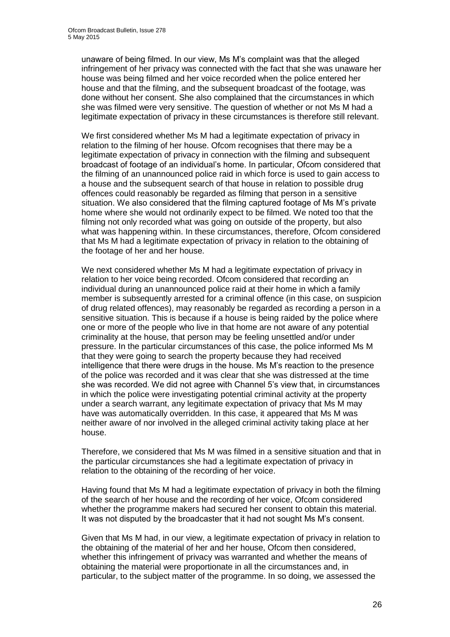unaware of being filmed. In our view, Ms M's complaint was that the alleged infringement of her privacy was connected with the fact that she was unaware her house was being filmed and her voice recorded when the police entered her house and that the filming, and the subsequent broadcast of the footage, was done without her consent. She also complained that the circumstances in which she was filmed were very sensitive. The question of whether or not Ms M had a legitimate expectation of privacy in these circumstances is therefore still relevant.

We first considered whether Ms M had a legitimate expectation of privacy in relation to the filming of her house. Ofcom recognises that there may be a legitimate expectation of privacy in connection with the filming and subsequent broadcast of footage of an individual's home. In particular, Ofcom considered that the filming of an unannounced police raid in which force is used to gain access to a house and the subsequent search of that house in relation to possible drug offences could reasonably be regarded as filming that person in a sensitive situation. We also considered that the filming captured footage of Ms M's private home where she would not ordinarily expect to be filmed. We noted too that the filming not only recorded what was going on outside of the property, but also what was happening within. In these circumstances, therefore, Ofcom considered that Ms M had a legitimate expectation of privacy in relation to the obtaining of the footage of her and her house.

We next considered whether Ms M had a legitimate expectation of privacy in relation to her voice being recorded. Ofcom considered that recording an individual during an unannounced police raid at their home in which a family member is subsequently arrested for a criminal offence (in this case, on suspicion of drug related offences), may reasonably be regarded as recording a person in a sensitive situation. This is because if a house is being raided by the police where one or more of the people who live in that home are not aware of any potential criminality at the house, that person may be feeling unsettled and/or under pressure. In the particular circumstances of this case, the police informed Ms M that they were going to search the property because they had received intelligence that there were drugs in the house. Ms M's reaction to the presence of the police was recorded and it was clear that she was distressed at the time she was recorded. We did not agree with Channel 5's view that, in circumstances in which the police were investigating potential criminal activity at the property under a search warrant, any legitimate expectation of privacy that Ms M may have was automatically overridden. In this case, it appeared that Ms M was neither aware of nor involved in the alleged criminal activity taking place at her house.

Therefore, we considered that Ms M was filmed in a sensitive situation and that in the particular circumstances she had a legitimate expectation of privacy in relation to the obtaining of the recording of her voice.

Having found that Ms M had a legitimate expectation of privacy in both the filming of the search of her house and the recording of her voice, Ofcom considered whether the programme makers had secured her consent to obtain this material. It was not disputed by the broadcaster that it had not sought Ms M's consent.

Given that Ms M had, in our view, a legitimate expectation of privacy in relation to the obtaining of the material of her and her house, Ofcom then considered, whether this infringement of privacy was warranted and whether the means of obtaining the material were proportionate in all the circumstances and, in particular, to the subject matter of the programme. In so doing, we assessed the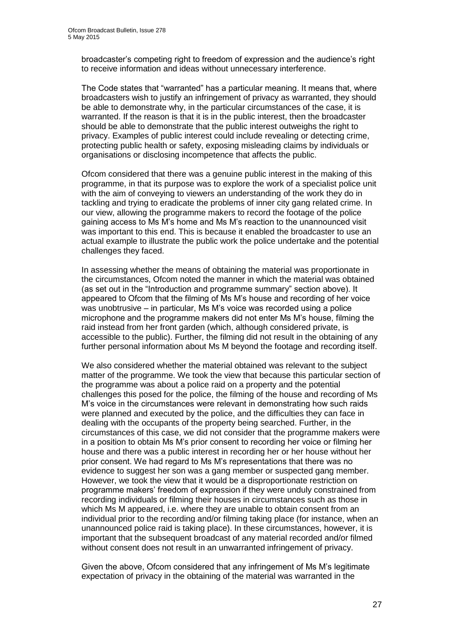broadcaster's competing right to freedom of expression and the audience's right to receive information and ideas without unnecessary interference.

The Code states that "warranted" has a particular meaning. It means that, where broadcasters wish to justify an infringement of privacy as warranted, they should be able to demonstrate why, in the particular circumstances of the case, it is warranted. If the reason is that it is in the public interest, then the broadcaster should be able to demonstrate that the public interest outweighs the right to privacy. Examples of public interest could include revealing or detecting crime, protecting public health or safety, exposing misleading claims by individuals or organisations or disclosing incompetence that affects the public.

Ofcom considered that there was a genuine public interest in the making of this programme, in that its purpose was to explore the work of a specialist police unit with the aim of conveying to viewers an understanding of the work they do in tackling and trying to eradicate the problems of inner city gang related crime. In our view, allowing the programme makers to record the footage of the police gaining access to Ms M's home and Ms M's reaction to the unannounced visit was important to this end. This is because it enabled the broadcaster to use an actual example to illustrate the public work the police undertake and the potential challenges they faced.

In assessing whether the means of obtaining the material was proportionate in the circumstances, Ofcom noted the manner in which the material was obtained (as set out in the "Introduction and programme summary" section above). It appeared to Ofcom that the filming of Ms M's house and recording of her voice was unobtrusive – in particular, Ms M's voice was recorded using a police microphone and the programme makers did not enter Ms M's house, filming the raid instead from her front garden (which, although considered private, is accessible to the public). Further, the filming did not result in the obtaining of any further personal information about Ms M beyond the footage and recording itself.

We also considered whether the material obtained was relevant to the subject matter of the programme. We took the view that because this particular section of the programme was about a police raid on a property and the potential challenges this posed for the police, the filming of the house and recording of Ms M's voice in the circumstances were relevant in demonstrating how such raids were planned and executed by the police, and the difficulties they can face in dealing with the occupants of the property being searched. Further, in the circumstances of this case, we did not consider that the programme makers were in a position to obtain Ms M's prior consent to recording her voice or filming her house and there was a public interest in recording her or her house without her prior consent. We had regard to Ms M's representations that there was no evidence to suggest her son was a gang member or suspected gang member. However, we took the view that it would be a disproportionate restriction on programme makers' freedom of expression if they were unduly constrained from recording individuals or filming their houses in circumstances such as those in which Ms M appeared, i.e. where they are unable to obtain consent from an individual prior to the recording and/or filming taking place (for instance, when an unannounced police raid is taking place). In these circumstances, however, it is important that the subsequent broadcast of any material recorded and/or filmed without consent does not result in an unwarranted infringement of privacy.

Given the above, Ofcom considered that any infringement of Ms M's legitimate expectation of privacy in the obtaining of the material was warranted in the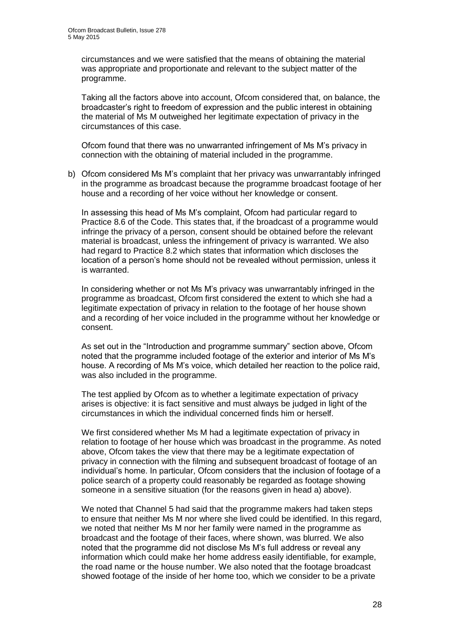circumstances and we were satisfied that the means of obtaining the material was appropriate and proportionate and relevant to the subject matter of the programme.

Taking all the factors above into account, Ofcom considered that, on balance, the broadcaster's right to freedom of expression and the public interest in obtaining the material of Ms M outweighed her legitimate expectation of privacy in the circumstances of this case.

Ofcom found that there was no unwarranted infringement of Ms M's privacy in connection with the obtaining of material included in the programme.

b) Ofcom considered Ms M's complaint that her privacy was unwarrantably infringed in the programme as broadcast because the programme broadcast footage of her house and a recording of her voice without her knowledge or consent.

In assessing this head of Ms M's complaint, Ofcom had particular regard to Practice 8.6 of the Code. This states that, if the broadcast of a programme would infringe the privacy of a person, consent should be obtained before the relevant material is broadcast, unless the infringement of privacy is warranted. We also had regard to Practice 8.2 which states that information which discloses the location of a person's home should not be revealed without permission, unless it is warranted.

In considering whether or not Ms M's privacy was unwarrantably infringed in the programme as broadcast, Ofcom first considered the extent to which she had a legitimate expectation of privacy in relation to the footage of her house shown and a recording of her voice included in the programme without her knowledge or consent.

As set out in the "Introduction and programme summary" section above, Ofcom noted that the programme included footage of the exterior and interior of Ms M's house. A recording of Ms M's voice, which detailed her reaction to the police raid, was also included in the programme.

The test applied by Ofcom as to whether a legitimate expectation of privacy arises is objective: it is fact sensitive and must always be judged in light of the circumstances in which the individual concerned finds him or herself.

We first considered whether Ms M had a legitimate expectation of privacy in relation to footage of her house which was broadcast in the programme. As noted above, Ofcom takes the view that there may be a legitimate expectation of privacy in connection with the filming and subsequent broadcast of footage of an individual's home. In particular, Ofcom considers that the inclusion of footage of a police search of a property could reasonably be regarded as footage showing someone in a sensitive situation (for the reasons given in head a) above).

We noted that Channel 5 had said that the programme makers had taken steps to ensure that neither Ms M nor where she lived could be identified. In this regard, we noted that neither Ms M nor her family were named in the programme as broadcast and the footage of their faces, where shown, was blurred. We also noted that the programme did not disclose Ms M's full address or reveal any information which could make her home address easily identifiable, for example, the road name or the house number. We also noted that the footage broadcast showed footage of the inside of her home too, which we consider to be a private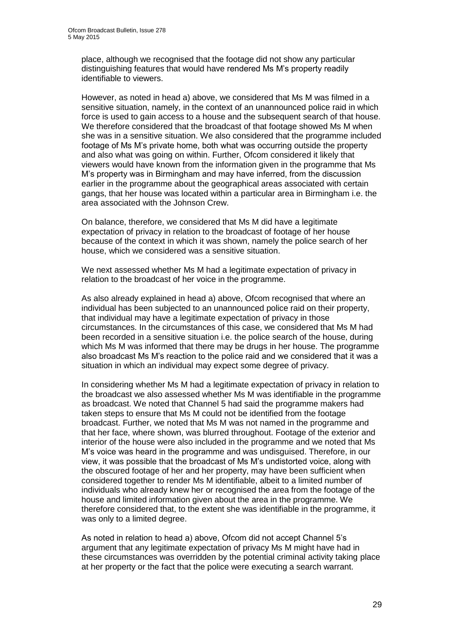place, although we recognised that the footage did not show any particular distinguishing features that would have rendered Ms M's property readily identifiable to viewers.

However, as noted in head a) above, we considered that Ms M was filmed in a sensitive situation, namely, in the context of an unannounced police raid in which force is used to gain access to a house and the subsequent search of that house. We therefore considered that the broadcast of that footage showed Ms M when she was in a sensitive situation. We also considered that the programme included footage of Ms M's private home, both what was occurring outside the property and also what was going on within. Further, Ofcom considered it likely that viewers would have known from the information given in the programme that Ms M's property was in Birmingham and may have inferred, from the discussion earlier in the programme about the geographical areas associated with certain gangs, that her house was located within a particular area in Birmingham i.e. the area associated with the Johnson Crew.

On balance, therefore, we considered that Ms M did have a legitimate expectation of privacy in relation to the broadcast of footage of her house because of the context in which it was shown, namely the police search of her house, which we considered was a sensitive situation.

We next assessed whether Ms M had a legitimate expectation of privacy in relation to the broadcast of her voice in the programme.

As also already explained in head a) above, Ofcom recognised that where an individual has been subjected to an unannounced police raid on their property, that individual may have a legitimate expectation of privacy in those circumstances. In the circumstances of this case, we considered that Ms M had been recorded in a sensitive situation i.e. the police search of the house, during which Ms M was informed that there may be drugs in her house. The programme also broadcast Ms M's reaction to the police raid and we considered that it was a situation in which an individual may expect some degree of privacy.

In considering whether Ms M had a legitimate expectation of privacy in relation to the broadcast we also assessed whether Ms M was identifiable in the programme as broadcast. We noted that Channel 5 had said the programme makers had taken steps to ensure that Ms M could not be identified from the footage broadcast. Further, we noted that Ms M was not named in the programme and that her face, where shown, was blurred throughout. Footage of the exterior and interior of the house were also included in the programme and we noted that Ms M's voice was heard in the programme and was undisguised. Therefore, in our view, it was possible that the broadcast of Ms M's undistorted voice, along with the obscured footage of her and her property, may have been sufficient when considered together to render Ms M identifiable, albeit to a limited number of individuals who already knew her or recognised the area from the footage of the house and limited information given about the area in the programme. We therefore considered that, to the extent she was identifiable in the programme, it was only to a limited degree.

As noted in relation to head a) above, Ofcom did not accept Channel 5's argument that any legitimate expectation of privacy Ms M might have had in these circumstances was overridden by the potential criminal activity taking place at her property or the fact that the police were executing a search warrant.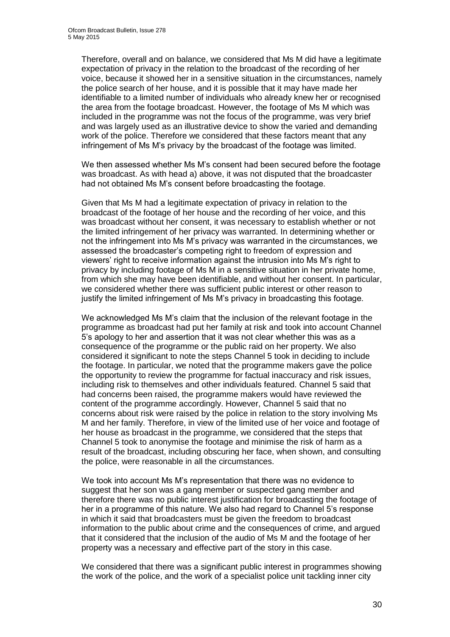Therefore, overall and on balance, we considered that Ms M did have a legitimate expectation of privacy in the relation to the broadcast of the recording of her voice, because it showed her in a sensitive situation in the circumstances, namely the police search of her house, and it is possible that it may have made her identifiable to a limited number of individuals who already knew her or recognised the area from the footage broadcast. However, the footage of Ms M which was included in the programme was not the focus of the programme, was very brief and was largely used as an illustrative device to show the varied and demanding work of the police. Therefore we considered that these factors meant that any infringement of Ms M's privacy by the broadcast of the footage was limited.

We then assessed whether Ms M's consent had been secured before the footage was broadcast. As with head a) above, it was not disputed that the broadcaster had not obtained Ms M's consent before broadcasting the footage.

Given that Ms M had a legitimate expectation of privacy in relation to the broadcast of the footage of her house and the recording of her voice, and this was broadcast without her consent, it was necessary to establish whether or not the limited infringement of her privacy was warranted. In determining whether or not the infringement into Ms M's privacy was warranted in the circumstances, we assessed the broadcaster's competing right to freedom of expression and viewers' right to receive information against the intrusion into Ms M's right to privacy by including footage of Ms M in a sensitive situation in her private home, from which she may have been identifiable, and without her consent. In particular, we considered whether there was sufficient public interest or other reason to justify the limited infringement of Ms M's privacy in broadcasting this footage.

We acknowledged Ms M's claim that the inclusion of the relevant footage in the programme as broadcast had put her family at risk and took into account Channel 5's apology to her and assertion that it was not clear whether this was as a consequence of the programme or the public raid on her property. We also considered it significant to note the steps Channel 5 took in deciding to include the footage. In particular, we noted that the programme makers gave the police the opportunity to review the programme for factual inaccuracy and risk issues, including risk to themselves and other individuals featured. Channel 5 said that had concerns been raised, the programme makers would have reviewed the content of the programme accordingly. However, Channel 5 said that no concerns about risk were raised by the police in relation to the story involving Ms M and her family. Therefore, in view of the limited use of her voice and footage of her house as broadcast in the programme, we considered that the steps that Channel 5 took to anonymise the footage and minimise the risk of harm as a result of the broadcast, including obscuring her face, when shown, and consulting the police, were reasonable in all the circumstances.

We took into account Ms M's representation that there was no evidence to suggest that her son was a gang member or suspected gang member and therefore there was no public interest justification for broadcasting the footage of her in a programme of this nature. We also had regard to Channel 5's response in which it said that broadcasters must be given the freedom to broadcast information to the public about crime and the consequences of crime, and argued that it considered that the inclusion of the audio of Ms M and the footage of her property was a necessary and effective part of the story in this case.

We considered that there was a significant public interest in programmes showing the work of the police, and the work of a specialist police unit tackling inner city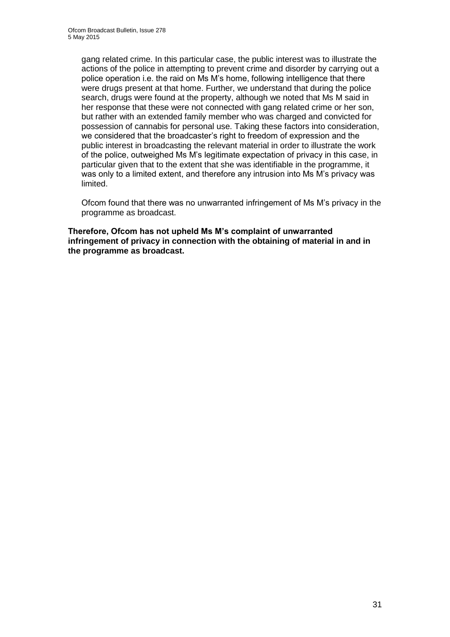gang related crime. In this particular case, the public interest was to illustrate the actions of the police in attempting to prevent crime and disorder by carrying out a police operation i.e. the raid on Ms M's home, following intelligence that there were drugs present at that home. Further, we understand that during the police search, drugs were found at the property, although we noted that Ms M said in her response that these were not connected with gang related crime or her son, but rather with an extended family member who was charged and convicted for possession of cannabis for personal use. Taking these factors into consideration, we considered that the broadcaster's right to freedom of expression and the public interest in broadcasting the relevant material in order to illustrate the work of the police, outweighed Ms M's legitimate expectation of privacy in this case, in particular given that to the extent that she was identifiable in the programme, it was only to a limited extent, and therefore any intrusion into Ms M's privacy was limited.

Ofcom found that there was no unwarranted infringement of Ms M's privacy in the programme as broadcast.

**Therefore, Ofcom has not upheld Ms M's complaint of unwarranted infringement of privacy in connection with the obtaining of material in and in the programme as broadcast.**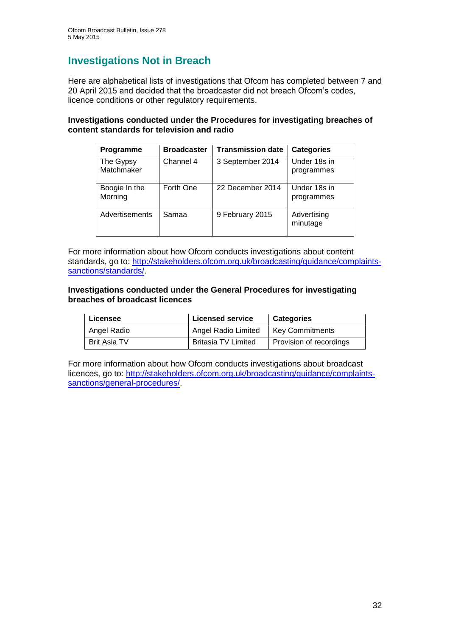## **Investigations Not in Breach**

Here are alphabetical lists of investigations that Ofcom has completed between 7 and 20 April 2015 and decided that the broadcaster did not breach Ofcom's codes, licence conditions or other regulatory requirements.

#### **Investigations conducted under the Procedures for investigating breaches of content standards for television and radio**

| Programme                | <b>Broadcaster</b> | <b>Transmission date</b> | <b>Categories</b>          |
|--------------------------|--------------------|--------------------------|----------------------------|
| The Gypsy<br>Matchmaker  | Channel 4          | 3 September 2014         | Under 18s in<br>programmes |
| Boogie In the<br>Morning | Forth One          | 22 December 2014         | Under 18s in<br>programmes |
| Advertisements           | Samaa              | 9 February 2015          | Advertising<br>minutage    |

For more information about how Ofcom conducts investigations about content standards, go to: [http://stakeholders.ofcom.org.uk/broadcasting/guidance/complaints](http://stakeholders.ofcom.org.uk/broadcasting/guidance/complaints-sanctions/standards/)[sanctions/standards/.](http://stakeholders.ofcom.org.uk/broadcasting/guidance/complaints-sanctions/standards/)

#### **Investigations conducted under the General Procedures for investigating breaches of broadcast licences**

| Licensee            | <b>Licensed service</b>    | <b>Categories</b>       |
|---------------------|----------------------------|-------------------------|
| Angel Radio         | <b>Angel Radio Limited</b> | <b>Key Commitments</b>  |
| <b>Brit Asia TV</b> | <b>Britasia TV Limited</b> | Provision of recordings |

For more information about how Ofcom conducts investigations about broadcast licences, go to: [http://stakeholders.ofcom.org.uk/broadcasting/guidance/complaints](http://stakeholders.ofcom.org.uk/broadcasting/guidance/complaints-sanctions/general-procedures/)[sanctions/general-procedures/.](http://stakeholders.ofcom.org.uk/broadcasting/guidance/complaints-sanctions/general-procedures/)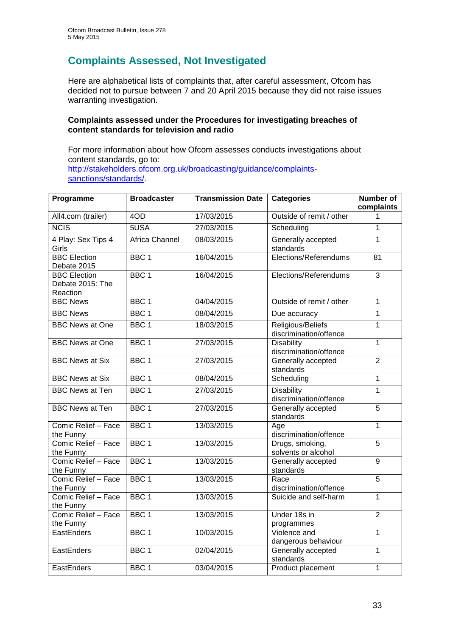## **Complaints Assessed, Not Investigated**

Here are alphabetical lists of complaints that, after careful assessment, Ofcom has decided not to pursue between 7 and 20 April 2015 because they did not raise issues warranting investigation.

#### **Complaints assessed under the Procedures for investigating breaches of content standards for television and radio**

For more information about how Ofcom assesses conducts investigations about content standards, go to: [http://stakeholders.ofcom.org.uk/broadcasting/guidance/complaints](http://stakeholders.ofcom.org.uk/broadcasting/guidance/complaints-sanctions/standards/)[sanctions/standards/.](http://stakeholders.ofcom.org.uk/broadcasting/guidance/complaints-sanctions/standards/)

| Programme                                           | <b>Broadcaster</b> | <b>Transmission Date</b> | <b>Categories</b>                           | <b>Number of</b><br>complaints |
|-----------------------------------------------------|--------------------|--------------------------|---------------------------------------------|--------------------------------|
| All4.com (trailer)                                  | 4OD                | 17/03/2015               | Outside of remit / other                    | 1                              |
| <b>NCIS</b>                                         | 5USA               | 27/03/2015               | Scheduling                                  | $\overline{1}$                 |
| 4 Play: Sex Tips 4<br>Girls                         | Africa Channel     | 08/03/2015               | Generally accepted<br>standards             | $\mathbf{1}$                   |
| <b>BBC</b> Election<br>Debate 2015                  | BBC <sub>1</sub>   | 16/04/2015               | Elections/Referendums                       | $\overline{81}$                |
| <b>BBC Election</b><br>Debate 2015: The<br>Reaction | BBC <sub>1</sub>   | 16/04/2015               | Elections/Referendums                       | 3                              |
| <b>BBC News</b>                                     | BBC <sub>1</sub>   | 04/04/2015               | Outside of remit / other                    | $\overline{1}$                 |
| <b>BBC News</b>                                     | BBC <sub>1</sub>   | 08/04/2015               | Due accuracy                                | $\mathbf{1}$                   |
| <b>BBC News at One</b>                              | BBC <sub>1</sub>   | 18/03/2015               | Religious/Beliefs<br>discrimination/offence | $\mathbf{1}$                   |
| <b>BBC News at One</b>                              | BBC <sub>1</sub>   | 27/03/2015               | <b>Disability</b><br>discrimination/offence | $\overline{1}$                 |
| <b>BBC News at Six</b>                              | BBC <sub>1</sub>   | 27/03/2015               | Generally accepted<br>standards             | $\overline{2}$                 |
| <b>BBC News at Six</b>                              | BBC <sub>1</sub>   | 08/04/2015               | Scheduling                                  | $\overline{1}$                 |
| <b>BBC News at Ten</b>                              | BBC <sub>1</sub>   | 27/03/2015               | <b>Disability</b><br>discrimination/offence | $\overline{1}$                 |
| <b>BBC News at Ten</b>                              | BBC <sub>1</sub>   | 27/03/2015               | Generally accepted<br>standards             | $\overline{5}$                 |
| Comic Relief - Face<br>the Funny                    | BBC <sub>1</sub>   | 13/03/2015               | Age<br>discrimination/offence               | $\mathbf{1}$                   |
| Comic Relief - Face<br>the Funny                    | BBC <sub>1</sub>   | 13/03/2015               | Drugs, smoking,<br>solvents or alcohol      | $\overline{5}$                 |
| Comic Relief - Face<br>the Funny                    | BBC <sub>1</sub>   | 13/03/2015               | Generally accepted<br>standards             | $\overline{9}$                 |
| Comic Relief - Face<br>the Funny                    | BBC <sub>1</sub>   | 13/03/2015               | Race<br>discrimination/offence              | $\overline{5}$                 |
| Comic Relief - Face<br>the Funny                    | BBC <sub>1</sub>   | 13/03/2015               | Suicide and self-harm                       | $\overline{1}$                 |
| Comic Relief - Face<br>the Funny                    | BBC <sub>1</sub>   | 13/03/2015               | Under 18s in<br>programmes                  | $\overline{2}$                 |
| EastEnders                                          | BBC <sub>1</sub>   | 10/03/2015               | Violence and<br>dangerous behaviour         | $\overline{1}$                 |
| EastEnders                                          | BBC <sub>1</sub>   | 02/04/2015               | Generally accepted<br>standards             | $\mathbf{1}$                   |
| EastEnders                                          | BBC <sub>1</sub>   | 03/04/2015               | Product placement                           | $\overline{1}$                 |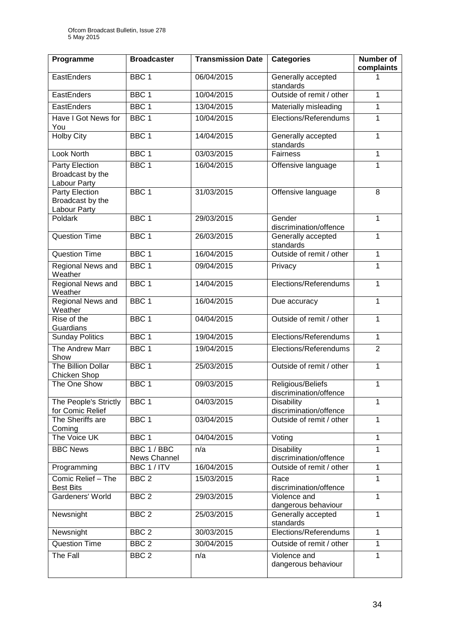| Programme                                                 | <b>Broadcaster</b>          | <b>Transmission Date</b> | <b>Categories</b>                           | <b>Number of</b><br>complaints |
|-----------------------------------------------------------|-----------------------------|--------------------------|---------------------------------------------|--------------------------------|
| EastEnders                                                | BBC <sub>1</sub>            | 06/04/2015               | Generally accepted<br>standards             | 1                              |
| EastEnders                                                | BBC <sub>1</sub>            | 10/04/2015               | Outside of remit / other                    | $\mathbf{1}$                   |
| EastEnders                                                | BBC <sub>1</sub>            | 13/04/2015               | Materially misleading                       | $\mathbf{1}$                   |
| Have I Got News for<br>You                                | BBC <sub>1</sub>            | 10/04/2015               | Elections/Referendums                       | 1                              |
| <b>Holby City</b>                                         | BBC <sub>1</sub>            | 14/04/2015               | Generally accepted<br>standards             | $\mathbf{1}$                   |
| Look North                                                | BBC <sub>1</sub>            | 03/03/2015               | <b>Fairness</b>                             | $\mathbf{1}$                   |
| <b>Party Election</b><br>Broadcast by the<br>Labour Party | BBC <sub>1</sub>            | 16/04/2015               | Offensive language                          | $\mathbf{1}$                   |
| <b>Party Election</b><br>Broadcast by the<br>Labour Party | BBC <sub>1</sub>            | 31/03/2015               | Offensive language                          | 8                              |
| Poldark                                                   | BBC <sub>1</sub>            | 29/03/2015               | Gender<br>discrimination/offence            | $\mathbf{1}$                   |
| <b>Question Time</b>                                      | BBC <sub>1</sub>            | 26/03/2015               | Generally accepted<br>standards             | $\mathbf{1}$                   |
| <b>Question Time</b>                                      | BBC <sub>1</sub>            | 16/04/2015               | Outside of remit / other                    | $\mathbf{1}$                   |
| Regional News and<br>Weather                              | BBC <sub>1</sub>            | 09/04/2015               | Privacy                                     | 1                              |
| <b>Regional News and</b><br>Weather                       | BBC <sub>1</sub>            | 14/04/2015               | Elections/Referendums                       | $\mathbf{1}$                   |
| Regional News and<br>Weather                              | BBC <sub>1</sub>            | 16/04/2015               | Due accuracy                                | $\mathbf{1}$                   |
| Rise of the<br>Guardians                                  | BBC <sub>1</sub>            | 04/04/2015               | Outside of remit / other                    | $\mathbf{1}$                   |
| <b>Sunday Politics</b>                                    | BBC <sub>1</sub>            | 19/04/2015               | Elections/Referendums                       | $\overline{1}$                 |
| The Andrew Marr<br>Show                                   | BBC <sub>1</sub>            | 19/04/2015               | Elections/Referendums                       | $\overline{2}$                 |
| <b>The Billion Dollar</b><br>Chicken Shop                 | BBC <sub>1</sub>            | 25/03/2015               | Outside of remit / other                    | $\mathbf{1}$                   |
| The One Show                                              | BBC <sub>1</sub>            | 09/03/2015               | Religious/Beliefs<br>discrimination/offence | 1                              |
| The People's Strictly<br>for Comic Relief                 | BBC 1                       | 04/03/2015               | Disability<br>discrimination/offence        | 1                              |
| The Sheriffs are<br>Coming                                | BBC <sub>1</sub>            | 03/04/2015               | Outside of remit / other                    | $\mathbf{1}$                   |
| The Voice UK                                              | BBC 1                       | 04/04/2015               | Voting                                      | $\mathbf{1}$                   |
| <b>BBC News</b>                                           | BBC 1 / BBC<br>News Channel | n/a                      | <b>Disability</b><br>discrimination/offence | $\mathbf{1}$                   |
| Programming                                               | BBC 1 / ITV                 | 16/04/2015               | Outside of remit / other                    | $\mathbf{1}$                   |
| Comic Relief - The<br><b>Best Bits</b>                    | BBC <sub>2</sub>            | 15/03/2015               | Race<br>discrimination/offence              | 1                              |
| Gardeners' World                                          | BBC <sub>2</sub>            | 29/03/2015               | Violence and<br>dangerous behaviour         | $\mathbf{1}$                   |
| Newsnight                                                 | BBC <sub>2</sub>            | 25/03/2015               | Generally accepted<br>standards             | $\mathbf{1}$                   |
| Newsnight                                                 | BBC <sub>2</sub>            | 30/03/2015               | Elections/Referendums                       | $\mathbf{1}$                   |
| <b>Question Time</b>                                      | BBC <sub>2</sub>            | 30/04/2015               | Outside of remit / other                    | $\mathbf{1}$                   |
| The Fall                                                  | BBC <sub>2</sub>            | n/a                      | Violence and<br>dangerous behaviour         | 1                              |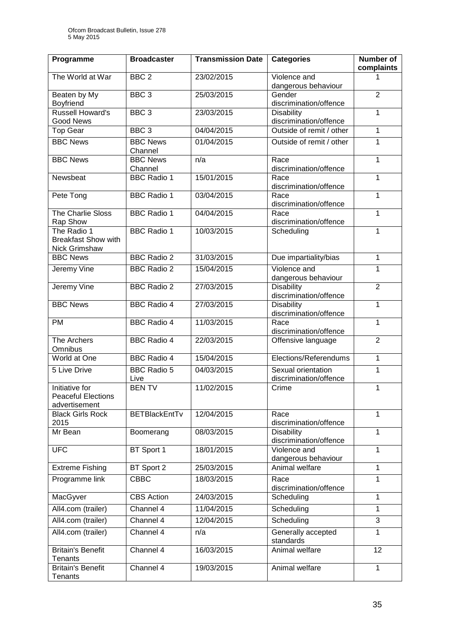| Programme                                                    | <b>Broadcaster</b>         | <b>Transmission Date</b> | <b>Categories</b>                            | Number of<br>complaints |
|--------------------------------------------------------------|----------------------------|--------------------------|----------------------------------------------|-------------------------|
| The World at War                                             | BBC <sub>2</sub>           | 23/02/2015               | Violence and<br>dangerous behaviour          | 1                       |
| Beaten by My<br>Boyfriend                                    | BBC <sub>3</sub>           | 25/03/2015               | Gender<br>discrimination/offence             | $\overline{2}$          |
| <b>Russell Howard's</b><br><b>Good News</b>                  | BBC <sub>3</sub>           | 23/03/2015               | <b>Disability</b><br>discrimination/offence  | $\mathbf{1}$            |
| <b>Top Gear</b>                                              | BBC <sub>3</sub>           | 04/04/2015               | Outside of remit / other                     | $\mathbf{1}$            |
| <b>BBC News</b>                                              | <b>BBC News</b><br>Channel | 01/04/2015               | Outside of remit / other                     | $\mathbf{1}$            |
| <b>BBC News</b>                                              | <b>BBC News</b><br>Channel | n/a                      | Race<br>discrimination/offence               | $\mathbf{1}$            |
| Newsbeat                                                     | <b>BBC Radio 1</b>         | 15/01/2015               | Race<br>discrimination/offence               | $\mathbf{1}$            |
| Pete Tong                                                    | <b>BBC Radio 1</b>         | 03/04/2015               | Race<br>discrimination/offence               | 1                       |
| The Charlie Sloss<br>Rap Show                                | <b>BBC Radio 1</b>         | 04/04/2015               | Race<br>discrimination/offence               | 1                       |
| The Radio 1<br><b>Breakfast Show with</b><br>Nick Grimshaw   | <b>BBC Radio 1</b>         | 10/03/2015               | Scheduling                                   | $\mathbf{1}$            |
| <b>BBC News</b>                                              | <b>BBC Radio 2</b>         | 31/03/2015               | Due impartiality/bias                        | 1                       |
| Jeremy Vine                                                  | <b>BBC Radio 2</b>         | 15/04/2015               | Violence and<br>dangerous behaviour          | $\overline{1}$          |
| Jeremy Vine                                                  | <b>BBC Radio 2</b>         | 27/03/2015               | <b>Disability</b><br>discrimination/offence  | $\overline{2}$          |
| <b>BBC News</b>                                              | <b>BBC Radio 4</b>         | 27/03/2015               | <b>Disability</b><br>discrimination/offence  | $\overline{1}$          |
| PM                                                           | <b>BBC Radio 4</b>         | 11/03/2015               | Race<br>discrimination/offence               | $\mathbf{1}$            |
| The Archers<br>Omnibus                                       | <b>BBC Radio 4</b>         | 22/03/2015               | Offensive language                           | $\overline{2}$          |
| World at One                                                 | <b>BBC Radio 4</b>         | 15/04/2015               | Elections/Referendums                        | $\mathbf{1}$            |
| <b>5 Live Drive</b>                                          | <b>BBC Radio 5</b><br>Live | 04/03/2015               | Sexual orientation<br>discrimination/offence | 1                       |
| Initiative for<br><b>Peaceful Elections</b><br>advertisement | <b>BENTV</b>               | 11/02/2015               | Crime                                        | $\mathbf{1}$            |
| <b>Black Girls Rock</b><br>2015                              | <b>BETBlackEntTv</b>       | 12/04/2015               | Race<br>discrimination/offence               | $\mathbf{1}$            |
| Mr Bean                                                      | Boomerang                  | 08/03/2015               | <b>Disability</b><br>discrimination/offence  | $\overline{1}$          |
| <b>UFC</b>                                                   | BT Sport 1                 | 18/01/2015               | Violence and<br>dangerous behaviour          | $\mathbf{1}$            |
| <b>Extreme Fishing</b>                                       | BT Sport 2                 | 25/03/2015               | Animal welfare                               | $\mathbf{1}$            |
| Programme link                                               | <b>CBBC</b>                | 18/03/2015               | Race<br>discrimination/offence               | 1                       |
| MacGyver                                                     | <b>CBS</b> Action          | 24/03/2015               | Scheduling                                   | 1                       |
| All4.com (trailer)                                           | Channel 4                  | 11/04/2015               | Scheduling                                   | $\mathbf{1}$            |
| All4.com (trailer)                                           | Channel 4                  | 12/04/2015               | Scheduling                                   | $\overline{3}$          |
| All4.com (trailer)                                           | Channel 4                  | n/a                      | Generally accepted<br>standards              | 1                       |
| <b>Britain's Benefit</b><br><b>Tenants</b>                   | Channel 4                  | 16/03/2015               | Animal welfare                               | 12                      |
| <b>Britain's Benefit</b><br>Tenants                          | Channel 4                  | 19/03/2015               | Animal welfare                               | $\mathbf{1}$            |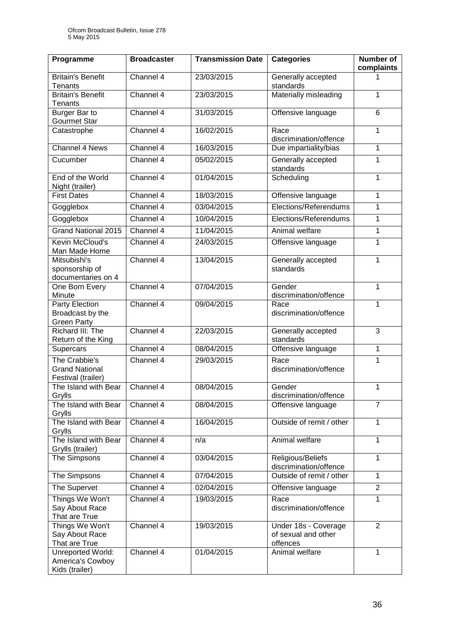| Programme                                                    | <b>Broadcaster</b> | <b>Transmission Date</b> | <b>Categories</b>                                       | <b>Number of</b><br>complaints |
|--------------------------------------------------------------|--------------------|--------------------------|---------------------------------------------------------|--------------------------------|
| <b>Britain's Benefit</b><br><b>Tenants</b>                   | Channel 4          | 23/03/2015               | Generally accepted<br>standards                         | 1                              |
| <b>Britain's Benefit</b><br><b>Tenants</b>                   | Channel 4          | 23/03/2015               | Materially misleading                                   | 1                              |
| Burger Bar to<br><b>Gourmet Star</b>                         | Channel 4          | 31/03/2015               | Offensive language                                      | 6                              |
| Catastrophe                                                  | Channel 4          | 16/02/2015               | Race<br>discrimination/offence                          | $\mathbf{1}$                   |
| <b>Channel 4 News</b>                                        | Channel 4          | 16/03/2015               | Due impartiality/bias                                   | 1                              |
| Cucumber                                                     | Channel 4          | 05/02/2015               | Generally accepted<br>standards                         | $\mathbf{1}$                   |
| End of the World<br>Night (trailer)                          | Channel 4          | 01/04/2015               | Scheduling                                              | 1                              |
| <b>First Dates</b>                                           | Channel 4          | 18/03/2015               | Offensive language                                      | 1                              |
| Gogglebox                                                    | Channel 4          | 03/04/2015               | Elections/Referendums                                   | 1                              |
| Gogglebox                                                    | Channel 4          | 10/04/2015               | Elections/Referendums                                   | 1                              |
| <b>Grand National 2015</b>                                   | Channel 4          | 11/04/2015               | Animal welfare                                          | 1                              |
| Kevin McCloud's<br>Man Made Home                             | Channel 4          | 24/03/2015               | Offensive language                                      | 1                              |
| Mitsubishi's<br>sponsorship of<br>documentaries on 4         | Channel 4          | 13/04/2015               | Generally accepted<br>standards                         | 1                              |
| One Born Every<br>Minute                                     | Channel 4          | 07/04/2015               | Gender<br>discrimination/offence                        | 1                              |
| Party Election<br>Broadcast by the<br><b>Green Party</b>     | Channel 4          | 09/04/2015               | Race<br>discrimination/offence                          | 1                              |
| Richard III: The<br>Return of the King                       | Channel 4          | 22/03/2015               | Generally accepted<br>standards                         | 3                              |
| Supercars                                                    | Channel 4          | 08/04/2015               | Offensive language                                      | 1                              |
| The Crabbie's<br><b>Grand National</b><br>Festival (trailer) | Channel 4          | 29/03/2015               | Race<br>discrimination/offence                          | 1                              |
| The Island with Bear<br>Grylls                               | Channel 4          | 08/04/2015               | Gender<br>discrimination/offence                        | 1                              |
| The Island with Bear<br>Grylls                               | Channel 4          | 08/04/2015               | Offensive language                                      | $\overline{7}$                 |
| The Island with Bear<br>Grylls                               | Channel 4          | 16/04/2015               | Outside of remit / other                                | $\mathbf{1}$                   |
| The Island with Bear<br>Grylls (trailer)                     | Channel 4          | n/a                      | Animal welfare                                          | $\mathbf{1}$                   |
| The Simpsons                                                 | Channel 4          | 03/04/2015               | Religious/Beliefs<br>discrimination/offence             | $\mathbf{1}$                   |
| The Simpsons                                                 | Channel 4          | 07/04/2015               | Outside of remit / other                                | 1                              |
| The Supervet                                                 | Channel 4          | 02/04/2015               | Offensive language                                      | $\overline{2}$                 |
| Things We Won't<br>Say About Race<br>That are True           | Channel 4          | 19/03/2015               | Race<br>discrimination/offence                          | 1                              |
| Things We Won't<br>Say About Race<br>That are True           | Channel 4          | 19/03/2015               | Under 18s - Coverage<br>of sexual and other<br>offences | 2                              |
| Unreported World:<br>America's Cowboy<br>Kids (trailer)      | Channel 4          | 01/04/2015               | Animal welfare                                          | $\mathbf{1}$                   |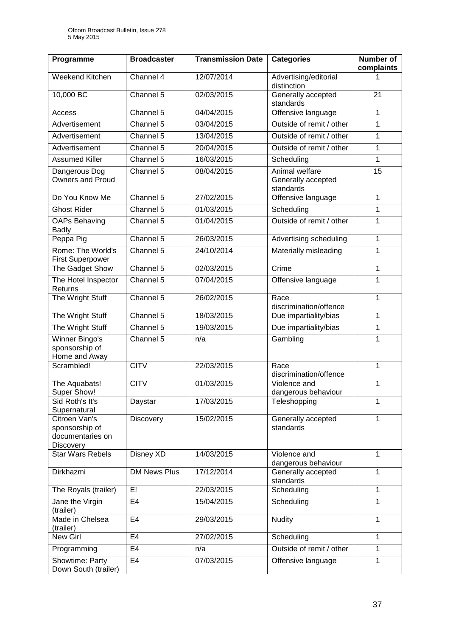| Programme                                                               | <b>Broadcaster</b>  | <b>Transmission Date</b> | <b>Categories</b>                                 | <b>Number of</b><br>complaints |
|-------------------------------------------------------------------------|---------------------|--------------------------|---------------------------------------------------|--------------------------------|
| Weekend Kitchen                                                         | Channel 4           | 12/07/2014               | Advertising/editorial<br>distinction              |                                |
| 10,000 BC                                                               | Channel 5           | 02/03/2015               | Generally accepted<br>standards                   | 21                             |
| Access                                                                  | Channel 5           | 04/04/2015               | Offensive language                                | $\mathbf 1$                    |
| Advertisement                                                           | Channel 5           | 03/04/2015               | Outside of remit / other                          | 1                              |
| Advertisement                                                           | Channel 5           | 13/04/2015               | Outside of remit / other                          | 1                              |
| Advertisement                                                           | Channel 5           | 20/04/2015               | Outside of remit / other                          | $\mathbf{1}$                   |
| <b>Assumed Killer</b>                                                   | Channel 5           | 16/03/2015               | Scheduling                                        | $\mathbf{1}$                   |
| Dangerous Dog<br><b>Owners and Proud</b>                                | Channel 5           | 08/04/2015               | Animal welfare<br>Generally accepted<br>standards | 15                             |
| Do You Know Me                                                          | Channel 5           | 27/02/2015               | Offensive language                                | $\mathbf{1}$                   |
| <b>Ghost Rider</b>                                                      | Channel 5           | 01/03/2015               | Scheduling                                        | 1                              |
| <b>OAPs Behaving</b><br><b>Badly</b>                                    | Channel 5           | 01/04/2015               | Outside of remit / other                          | $\mathbf{1}$                   |
| Peppa Pig                                                               | Channel 5           | 26/03/2015               | Advertising scheduling                            | 1                              |
| Rome: The World's<br><b>First Superpower</b>                            | Channel 5           | 24/10/2014               | Materially misleading                             | 1                              |
| The Gadget Show                                                         | Channel 5           | 02/03/2015               | Crime                                             | 1                              |
| The Hotel Inspector<br>Returns                                          | Channel 5           | 07/04/2015               | Offensive language                                | $\mathbf{1}$                   |
| The Wright Stuff                                                        | Channel 5           | 26/02/2015               | Race<br>discrimination/offence                    | 1                              |
| The Wright Stuff                                                        | Channel 5           | 18/03/2015               | Due impartiality/bias                             | $\mathbf{1}$                   |
| The Wright Stuff                                                        | Channel 5           | 19/03/2015               | Due impartiality/bias                             | 1                              |
| Winner Bingo's<br>sponsorship of<br>Home and Away                       | Channel 5           | n/a                      | Gambling                                          | 1                              |
| Scrambled!                                                              | <b>CITV</b>         | 22/03/2015               | Race<br>discrimination/offence                    | $\mathbf{1}$                   |
| The Aquabats!<br>Super Show!                                            | <b>CITV</b>         | 01/03/2015               | Violence and<br>dangerous behaviour               | 1                              |
| Sid Roth's It's<br>Supernatural                                         | Daystar             | 17/03/2015               | Teleshopping                                      | 1                              |
| Citroen Van's<br>sponsorship of<br>documentaries on<br><b>Discovery</b> | <b>Discovery</b>    | 15/02/2015               | Generally accepted<br>standards                   | 1                              |
| <b>Star Wars Rebels</b>                                                 | <b>Disney XD</b>    | 14/03/2015               | Violence and<br>dangerous behaviour               | 1                              |
| Dirkhazmi                                                               | <b>DM News Plus</b> | 17/12/2014               | Generally accepted<br>standards                   | 1                              |
| The Royals (trailer)                                                    | E!                  | 22/03/2015               | Scheduling                                        | 1                              |
| Jane the Virgin<br>(trailer)                                            | E <sub>4</sub>      | 15/04/2015               | Scheduling                                        | 1                              |
| Made in Chelsea<br>(trailer)                                            | E <sub>4</sub>      | 29/03/2015               | <b>Nudity</b>                                     | 1                              |
| New Girl                                                                | E <sub>4</sub>      | 27/02/2015               | Scheduling                                        | 1                              |
| Programming                                                             | E4                  | n/a                      | Outside of remit / other                          | 1                              |
| Showtime: Party<br>Down South (trailer)                                 | E <sub>4</sub>      | 07/03/2015               | Offensive language                                | 1                              |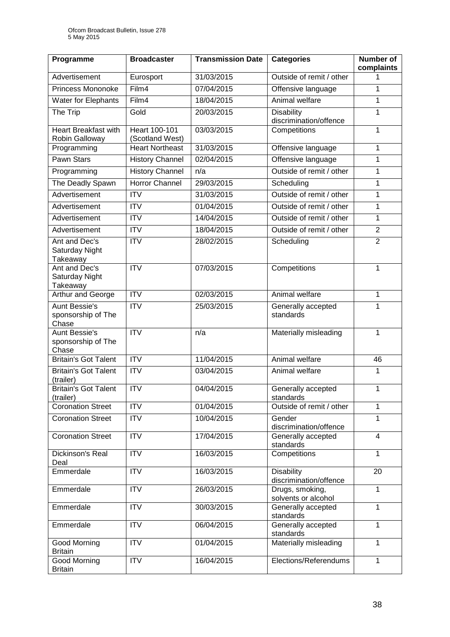| Programme                                           | <b>Broadcaster</b>               | <b>Transmission Date</b> | <b>Categories</b>                           | <b>Number of</b><br>complaints |
|-----------------------------------------------------|----------------------------------|--------------------------|---------------------------------------------|--------------------------------|
| Advertisement                                       | Eurosport                        | 31/03/2015               | Outside of remit / other                    |                                |
| <b>Princess Mononoke</b>                            | Film4                            | 07/04/2015               | Offensive language                          | 1                              |
| <b>Water for Elephants</b>                          | Film4                            | 18/04/2015               | Animal welfare                              | $\mathbf{1}$                   |
| The Trip                                            | Gold                             | 20/03/2015               | <b>Disability</b><br>discrimination/offence | 1                              |
| <b>Heart Breakfast with</b><br>Robin Galloway       | Heart 100-101<br>(Scotland West) | 03/03/2015               | Competitions                                | 1                              |
| Programming                                         | <b>Heart Northeast</b>           | 31/03/2015               | Offensive language                          | 1                              |
| <b>Pawn Stars</b>                                   | <b>History Channel</b>           | 02/04/2015               | Offensive language                          | $\mathbf{1}$                   |
| Programming                                         | <b>History Channel</b>           | n/a                      | Outside of remit / other                    | 1                              |
| The Deadly Spawn                                    | <b>Horror Channel</b>            | 29/03/2015               | Scheduling                                  | 1                              |
| Advertisement                                       | <b>ITV</b>                       | 31/03/2015               | Outside of remit / other                    | $\mathbf{1}$                   |
| Advertisement                                       | $\overline{ITV}$                 | 01/04/2015               | Outside of remit / other                    | $\mathbf{1}$                   |
| Advertisement                                       | <b>ITV</b>                       | 14/04/2015               | Outside of remit / other                    | 1                              |
| Advertisement                                       | <b>ITV</b>                       | 18/04/2015               | Outside of remit / other                    | $\overline{2}$                 |
| Ant and Dec's<br>Saturday Night<br>Takeaway         | $\overline{ITV}$                 | 28/02/2015               | Scheduling                                  | $\overline{2}$                 |
| Ant and Dec's<br>Saturday Night<br>Takeaway         | $\overline{\text{IV}}$           | 07/03/2015               | Competitions                                | $\mathbf{1}$                   |
| Arthur and George                                   | $\overline{\mathsf{ITV}}$        | 02/03/2015               | Animal welfare                              | 1                              |
| <b>Aunt Bessie's</b><br>sponsorship of The<br>Chase | $\overline{ITV}$                 | 25/03/2015               | Generally accepted<br>standards             | 1                              |
| <b>Aunt Bessie's</b><br>sponsorship of The<br>Chase | <b>ITV</b>                       | n/a                      | Materially misleading                       | $\mathbf{1}$                   |
| <b>Britain's Got Talent</b>                         | $\overline{ITV}$                 | 11/04/2015               | Animal welfare                              | 46                             |
| <b>Britain's Got Talent</b><br>(trailer)            | <b>ITV</b>                       | 03/04/2015               | Animal welfare                              | 1                              |
| <b>Britain's Got Talent</b><br>(trailer)            | <b>ITV</b>                       | 04/04/2015               | Generally accepted<br>standards             | 1                              |
| <b>Coronation Street</b>                            | <b>ITV</b>                       | 01/04/2015               | Outside of remit / other                    | $\mathbf{1}$                   |
| <b>Coronation Street</b>                            | $\overline{ITV}$                 | 10/04/2015               | Gender<br>discrimination/offence            | $\mathbf{1}$                   |
| <b>Coronation Street</b>                            | $\overline{IV}$                  | 17/04/2015               | Generally accepted<br>standards             | $\overline{4}$                 |
| Dickinson's Real<br>Deal                            | <b>ITV</b>                       | 16/03/2015               | Competitions                                | $\mathbf{1}$                   |
| Emmerdale                                           | <b>ITV</b>                       | 16/03/2015               | <b>Disability</b><br>discrimination/offence | 20                             |
| Emmerdale                                           | <b>ITV</b>                       | 26/03/2015               | Drugs, smoking,<br>solvents or alcohol      | $\mathbf{1}$                   |
| Emmerdale                                           | <b>ITV</b>                       | 30/03/2015               | Generally accepted<br>standards             | $\mathbf{1}$                   |
| Emmerdale                                           | <b>ITV</b>                       | 06/04/2015               | Generally accepted<br>standards             | 1                              |
| Good Morning<br><b>Britain</b>                      | <b>ITV</b>                       | 01/04/2015               | Materially misleading                       | $\mathbf{1}$                   |
| Good Morning<br><b>Britain</b>                      | <b>ITV</b>                       | 16/04/2015               | Elections/Referendums                       | $\mathbf{1}$                   |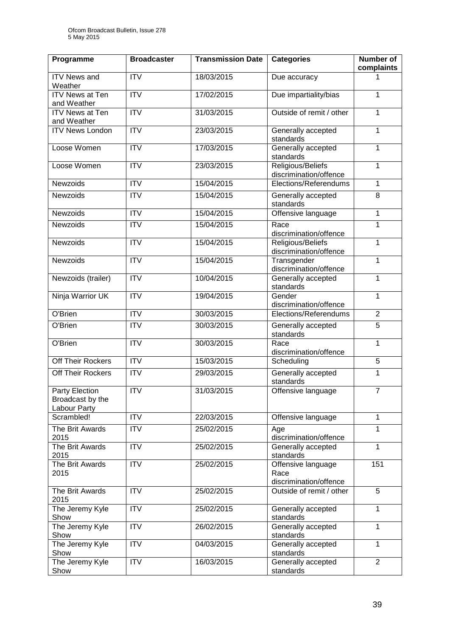| Programme                                          | <b>Broadcaster</b>        | <b>Transmission Date</b> | <b>Categories</b>                                    | Number of<br>complaints |
|----------------------------------------------------|---------------------------|--------------------------|------------------------------------------------------|-------------------------|
| <b>ITV</b> News and<br>Weather                     | <b>ITV</b>                | 18/03/2015               | Due accuracy                                         | 1                       |
| <b>ITV News at Ten</b><br>and Weather              | <b>ITV</b>                | 17/02/2015               | Due impartiality/bias                                | $\mathbf{1}$            |
| <b>ITV News at Ten</b><br>and Weather              | $\overline{ITV}$          | 31/03/2015               | Outside of remit / other                             | $\mathbf{1}$            |
| <b>ITV News London</b>                             | <b>ITV</b>                | 23/03/2015               | Generally accepted<br>standards                      | $\mathbf{1}$            |
| Loose Women                                        | $\overline{ITV}$          | 17/03/2015               | Generally accepted<br>standards                      | $\mathbf{1}$            |
| Loose Women                                        | $\overline{\mathsf{ITV}}$ | 23/03/2015               | Religious/Beliefs<br>discrimination/offence          | $\mathbf{1}$            |
| Newzoids                                           | $\overline{ITV}$          | 15/04/2015               | Elections/Referendums                                | $\mathbf{1}$            |
| Newzoids                                           | $\overline{ITV}$          | 15/04/2015               | Generally accepted<br>standards                      | 8                       |
| Newzoids                                           | ITV                       | 15/04/2015               | Offensive language                                   | $\mathbf{1}$            |
| Newzoids                                           | $\overline{\mathsf{ITV}}$ | 15/04/2015               | Race<br>discrimination/offence                       | $\mathbf{1}$            |
| <b>Newzoids</b>                                    | <b>ITV</b>                | 15/04/2015               | Religious/Beliefs<br>discrimination/offence          | $\mathbf{1}$            |
| Newzoids                                           | $\overline{ITV}$          | 15/04/2015               | Transgender<br>discrimination/offence                | $\overline{1}$          |
| Newzoids (trailer)                                 | $\overline{ITV}$          | 10/04/2015               | Generally accepted<br>standards                      | $\overline{1}$          |
| Ninja Warrior UK                                   | $\overline{ITV}$          | 19/04/2015               | Gender<br>discrimination/offence                     | $\mathbf{1}$            |
| O'Brien                                            | $\overline{IV}$           | 30/03/2015               | Elections/Referendums                                | $\overline{2}$          |
| $\overline{O}$ 'Brien                              | <b>ITV</b>                | 30/03/2015               | Generally accepted<br>standards                      | 5                       |
| O'Brien                                            | ITV                       | 30/03/2015               | Race<br>discrimination/offence                       | $\overline{1}$          |
| Off Their Rockers                                  | <b>ITV</b>                | 15/03/2015               | Scheduling                                           | 5                       |
| Off Their Rockers                                  | $\overline{ITV}$          | 29/03/2015               | Generally accepted<br>standards                      | $\mathbf{1}$            |
| Party Election<br>Broadcast by the<br>Labour Party | <b>ITV</b>                | 31/03/2015               | Offensive language                                   | $\overline{7}$          |
| Scrambled!                                         | <b>ITV</b>                | 22/03/2015               | Offensive language                                   | $\mathbf{1}$            |
| The Brit Awards<br>2015                            | <b>ITV</b>                | 25/02/2015               | Age<br>discrimination/offence                        | 1                       |
| The Brit Awards<br>2015                            | <b>ITV</b>                | 25/02/2015               | Generally accepted<br>standards                      | $\mathbf{1}$            |
| The Brit Awards<br>2015                            | <b>ITV</b>                | 25/02/2015               | Offensive language<br>Race<br>discrimination/offence | 151                     |
| The Brit Awards<br>2015                            | $\overline{ITV}$          | 25/02/2015               | Outside of remit / other                             | 5                       |
| The Jeremy Kyle<br>Show                            | <b>ITV</b>                | 25/02/2015               | Generally accepted<br>standards                      | $\mathbf{1}$            |
| The Jeremy Kyle<br>Show                            | <b>ITV</b>                | 26/02/2015               | Generally accepted<br>standards                      | 1                       |
| The Jeremy Kyle<br>Show                            | <b>ITV</b>                | 04/03/2015               | Generally accepted<br>standards                      | $\mathbf{1}$            |
| The Jeremy Kyle<br>Show                            | <b>ITV</b>                | 16/03/2015               | Generally accepted<br>standards                      | $\overline{2}$          |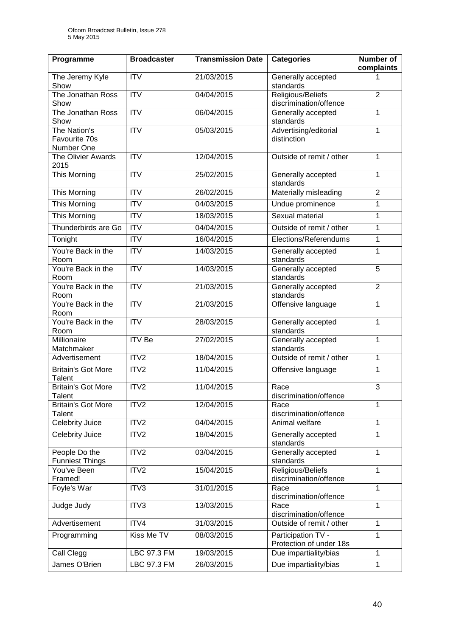| Programme                                   | <b>Broadcaster</b>      | <b>Transmission Date</b> | <b>Categories</b>                             | Number of<br>complaints |
|---------------------------------------------|-------------------------|--------------------------|-----------------------------------------------|-------------------------|
| The Jeremy Kyle<br>Show                     | <b>ITV</b>              | 21/03/2015               | Generally accepted<br>standards               | 1                       |
| The Jonathan Ross<br>Show                   | <b>ITV</b>              | 04/04/2015               | Religious/Beliefs<br>discrimination/offence   | $\overline{2}$          |
| The Jonathan Ross<br>Show                   | $\overline{\text{IV}}$  | 06/04/2015               | Generally accepted<br>standards               | $\mathbf{1}$            |
| The Nation's<br>Favourite 70s<br>Number One | $\overline{ITV}$        | 05/03/2015               | Advertising/editorial<br>distinction          | $\mathbf{1}$            |
| The Olivier Awards<br>2015                  | $\overline{IV}$         | 12/04/2015               | Outside of remit / other                      | $\mathbf{1}$            |
| <b>This Morning</b>                         | $\overline{\text{IV}}$  | 25/02/2015               | Generally accepted<br>standards               | 1                       |
| This Morning                                | <b>ITV</b>              | 26/02/2015               | Materially misleading                         | $\overline{2}$          |
| This Morning                                | <b>ITV</b>              | 04/03/2015               | Undue prominence                              | 1                       |
| <b>This Morning</b>                         | $\overline{\text{ITV}}$ | 18/03/2015               | Sexual material                               | $\mathbf{1}$            |
| Thunderbirds are Go                         | <b>ITV</b>              | 04/04/2015               | Outside of remit / other                      | $\mathbf{1}$            |
| Tonight                                     | <b>ITV</b>              | 16/04/2015               | Elections/Referendums                         | 1                       |
| You're Back in the<br>Room                  | <b>ITV</b>              | 14/03/2015               | Generally accepted<br>standards               | $\mathbf{1}$            |
| You're Back in the<br>Room                  | ITV                     | 14/03/2015               | Generally accepted<br>standards               | $\overline{5}$          |
| You're Back in the<br>Room                  | ITV                     | 21/03/2015               | Generally accepted<br>standards               | $\overline{2}$          |
| You're Back in the<br>Room                  | $\overline{ITV}$        | 21/03/2015               | Offensive language                            | $\mathbf{1}$            |
| You're Back in the<br>Room                  | ITV                     | 28/03/2015               | Generally accepted<br>standards               | $\mathbf{1}$            |
| Millionaire<br>Matchmaker                   | <b>ITV Be</b>           | 27/02/2015               | Generally accepted<br>standards               | $\mathbf{1}$            |
| Advertisement                               | ITV2                    | 18/04/2015               | Outside of remit / other                      | $\mathbf{1}$            |
| Britain's Got More<br>Talent                | ITV2                    | 11/04/2015               | Offensive language                            | 1                       |
| <b>Britain's Got More</b><br>Talent         | ITV2                    | 11/04/2015               | Race<br>discrimination/offence                | 3                       |
| <b>Britain's Got More</b><br>Talent         | ITV2                    | 12/04/2015               | Race<br>discrimination/offence                | 1                       |
| Celebrity Juice                             | ITV2                    | 04/04/2015               | Animal welfare                                | $\mathbf{1}$            |
| Celebrity Juice                             | ITV2                    | 18/04/2015               | Generally accepted<br>standards               | 1                       |
| People Do the<br><b>Funniest Things</b>     | ITV2                    | 03/04/2015               | Generally accepted<br>standards               | $\mathbf{1}$            |
| You've Been<br>Framed!                      | ITV2                    | 15/04/2015               | Religious/Beliefs<br>discrimination/offence   | 1                       |
| Foyle's War                                 | ITV3                    | 31/01/2015               | Race<br>discrimination/offence                | 1                       |
| Judge Judy                                  | ITV3                    | 13/03/2015               | Race<br>discrimination/offence                | $\mathbf{1}$            |
| Advertisement                               | ITV4                    | 31/03/2015               | Outside of remit / other                      | $\mathbf{1}$            |
| Programming                                 | Kiss Me TV              | 08/03/2015               | Participation TV -<br>Protection of under 18s | $\mathbf{1}$            |
| Call Clegg                                  | LBC 97.3 FM             | 19/03/2015               | Due impartiality/bias                         | $\mathbf{1}$            |
| James O'Brien                               | <b>LBC 97.3 FM</b>      | 26/03/2015               | Due impartiality/bias                         | $\mathbf{1}$            |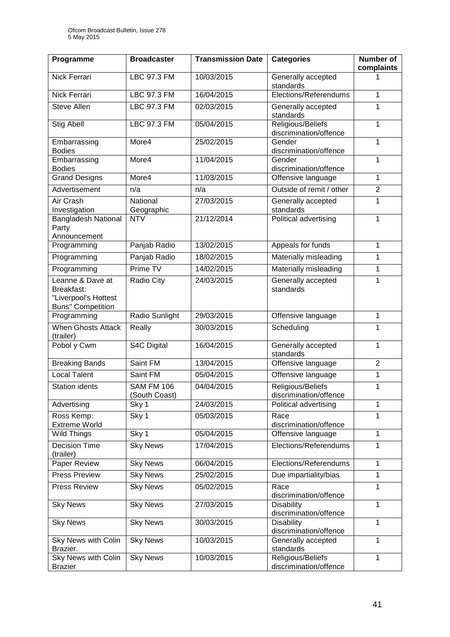| Programme                                                                          | <b>Broadcaster</b>                 | <b>Transmission Date</b> | <b>Categories</b>                           | <b>Number of</b><br>complaints |
|------------------------------------------------------------------------------------|------------------------------------|--------------------------|---------------------------------------------|--------------------------------|
| Nick Ferrari                                                                       | LBC 97.3 FM                        | 10/03/2015               | Generally accepted<br>standards             |                                |
| Nick Ferrari                                                                       | LBC 97.3 FM                        | 16/04/2015               | Elections/Referendums                       | $\mathbf{1}$                   |
| <b>Steve Allen</b>                                                                 | <b>LBC 97.3 FM</b>                 | 02/03/2015               | Generally accepted<br>standards             | 1                              |
| <b>Stig Abell</b>                                                                  | LBC 97.3 FM                        | 05/04/2015               | Religious/Beliefs<br>discrimination/offence | $\mathbf{1}$                   |
| Embarrassing<br><b>Bodies</b>                                                      | More4                              | 25/02/2015               | Gender<br>discrimination/offence            | 1                              |
| Embarrassing<br><b>Bodies</b>                                                      | More4                              | 11/04/2015               | Gender<br>discrimination/offence            | 1                              |
| <b>Grand Designs</b>                                                               | More4                              | 11/03/2015               | Offensive language                          | $\mathbf{1}$                   |
| Advertisement                                                                      | n/a                                | n/a                      | Outside of remit / other                    | $\overline{2}$                 |
| Air Crash<br>Investigation                                                         | National<br>Geographic             | 27/03/2015               | Generally accepted<br>standards             | 1                              |
| <b>Bangladesh National</b><br>Party<br>Announcement                                | <b>NTV</b>                         | 21/12/2014               | Political advertising                       | $\mathbf{1}$                   |
| Programming                                                                        | Panjab Radio                       | 13/02/2015               | Appeals for funds                           | 1                              |
| Programming                                                                        | Panjab Radio                       | 18/02/2015               | Materially misleading                       | 1                              |
| Programming                                                                        | Prime TV                           | 14/02/2015               | Materially misleading                       | $\mathbf 1$                    |
| Leanne & Dave at<br>Breakfast:<br>"Liverpool's Hottest<br><b>Buns" Competition</b> | Radio City                         | 24/03/2015               | Generally accepted<br>standards             | $\mathbf{1}$                   |
| Programming                                                                        | Radio Sunlight                     | 29/03/2015               | Offensive language                          | $\mathbf{1}$                   |
| <b>When Ghosts Attack</b><br>(trailer)                                             | Really                             | 30/03/2015               | Scheduling                                  | 1                              |
| Pobol y Cwm                                                                        | S4C Digital                        | 16/04/2015               | Generally accepted<br>standards             | $\mathbf{1}$                   |
| <b>Breaking Bands</b>                                                              | Saint FM                           | 13/04/2015               | Offensive language                          | $\overline{2}$                 |
| <b>Local Talent</b>                                                                | Saint FM                           | 05/04/2015               | Offensive language                          | 1                              |
| <b>Station idents</b>                                                              | <b>SAM FM 106</b><br>(South Coast) | 04/04/2015               | Religious/Beliefs<br>discrimination/offence | 1                              |
| Advertising                                                                        | Sky 1                              | 24/03/2015               | Political advertising                       | 1                              |
| Ross Kemp:<br><b>Extreme World</b>                                                 | Sky 1                              | 05/03/2015               | Race<br>discrimination/offence              | 1                              |
| Wild Things                                                                        | Sky 1                              | 05/04/2015               | Offensive language                          | $\mathbf{1}$                   |
| <b>Decision Time</b><br>(trailer)                                                  | <b>Sky News</b>                    | 17/04/2015               | Elections/Referendums                       | 1                              |
| Paper Review                                                                       | <b>Sky News</b>                    | 06/04/2015               | Elections/Referendums                       | $\mathbf{1}$                   |
| <b>Press Preview</b>                                                               | <b>Sky News</b>                    | 25/02/2015               | Due impartiality/bias                       | $\mathbf{1}$                   |
| Press Review                                                                       | <b>Sky News</b>                    | 05/02/2015               | Race<br>discrimination/offence              | $\overline{1}$                 |
| <b>Sky News</b>                                                                    | <b>Sky News</b>                    | 27/03/2015               | <b>Disability</b><br>discrimination/offence | 1                              |
| <b>Sky News</b>                                                                    | <b>Sky News</b>                    | 30/03/2015               | <b>Disability</b><br>discrimination/offence | $\overline{1}$                 |
| Sky News with Colin<br>Brazier.                                                    | <b>Sky News</b>                    | 10/03/2015               | Generally accepted<br>standards             | $\mathbf{1}$                   |
| Sky News with Colin<br><b>Brazier</b>                                              | <b>Sky News</b>                    | 10/03/2015               | Religious/Beliefs<br>discrimination/offence | 1                              |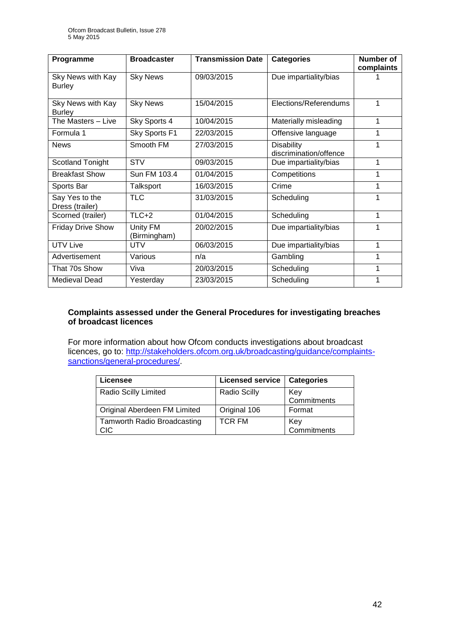| Programme                          | <b>Broadcaster</b>       | <b>Transmission Date</b> | <b>Categories</b>                           | Number of<br>complaints |
|------------------------------------|--------------------------|--------------------------|---------------------------------------------|-------------------------|
| Sky News with Kay<br><b>Burley</b> | <b>Sky News</b>          | 09/03/2015               | Due impartiality/bias                       |                         |
| Sky News with Kay<br><b>Burley</b> | <b>Sky News</b>          | 15/04/2015               | Elections/Referendums                       | 1                       |
| The Masters - Live                 | Sky Sports 4             | 10/04/2015               | Materially misleading                       | 1                       |
| Formula 1                          | Sky Sports F1            | 22/03/2015               | Offensive language                          | 1                       |
| <b>News</b>                        | Smooth FM                | 27/03/2015               | <b>Disability</b><br>discrimination/offence | 1                       |
| Scotland Tonight                   | <b>STV</b>               | 09/03/2015               | Due impartiality/bias                       | 1                       |
| <b>Breakfast Show</b>              | Sun FM 103.4             | 01/04/2015               | Competitions                                | 1                       |
| Sports Bar                         | Talksport                | 16/03/2015               | Crime                                       | 1                       |
| Say Yes to the<br>Dress (trailer)  | <b>TLC</b>               | 31/03/2015               | Scheduling                                  | 1                       |
| Scorned (trailer)                  | $TLC+2$                  | 01/04/2015               | Scheduling                                  | 1                       |
| <b>Friday Drive Show</b>           | Unity FM<br>(Birmingham) | 20/02/2015               | Due impartiality/bias                       | 1                       |
| <b>UTV Live</b>                    | <b>UTV</b>               | 06/03/2015               | Due impartiality/bias                       | 1                       |
| Advertisement                      | Various                  | n/a                      | Gambling                                    | 1                       |
| That 70s Show                      | Viva                     | 20/03/2015               | Scheduling                                  | 1                       |
| <b>Medieval Dead</b>               | Yesterday                | 23/03/2015               | Scheduling                                  | 1                       |

#### **Complaints assessed under the General Procedures for investigating breaches of broadcast licences**

For more information about how Ofcom conducts investigations about broadcast licences, go to: http://stakeholders.ofcom.org.uk/broadcasting/quidance/complaints[sanctions/general-procedures/.](http://stakeholders.ofcom.org.uk/broadcasting/guidance/complaints-sanctions/general-procedures/)

| Licensee                           | <b>Licensed service</b> | <b>Categories</b> |
|------------------------------------|-------------------------|-------------------|
| Radio Scilly Limited               | <b>Radio Scilly</b>     | Key               |
|                                    |                         | Commitments       |
| Original Aberdeen FM Limited       | Original 106            | Format            |
| <b>Tamworth Radio Broadcasting</b> | <b>TCR FM</b>           | Key               |
| CIC                                |                         | Commitments       |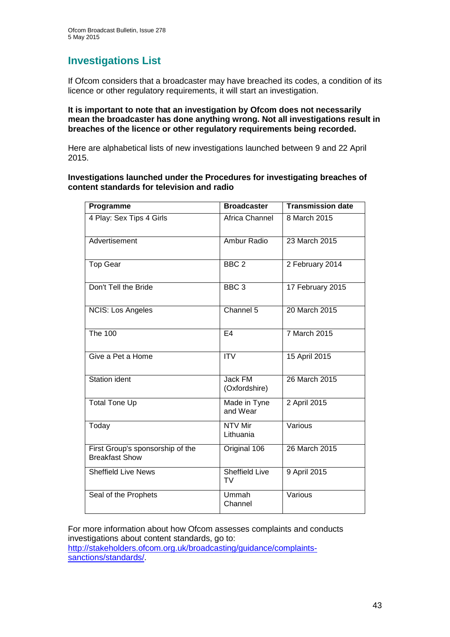## **Investigations List**

If Ofcom considers that a broadcaster may have breached its codes, a condition of its licence or other regulatory requirements, it will start an investigation.

**It is important to note that an investigation by Ofcom does not necessarily mean the broadcaster has done anything wrong. Not all investigations result in breaches of the licence or other regulatory requirements being recorded.**

Here are alphabetical lists of new investigations launched between 9 and 22 April 2015.

**Investigations launched under the Procedures for investigating breaches of content standards for television and radio**

| Programme                                                 | <b>Broadcaster</b>                 | <b>Transmission date</b> |
|-----------------------------------------------------------|------------------------------------|--------------------------|
| 4 Play: Sex Tips 4 Girls                                  | Africa Channel                     | 8 March 2015             |
| Advertisement                                             | Ambur Radio                        | 23 March 2015            |
| <b>Top Gear</b>                                           | BBC <sub>2</sub>                   | 2 February 2014          |
| Don't Tell the Bride                                      | BBC <sub>3</sub>                   | 17 February 2015         |
| <b>NCIS: Los Angeles</b>                                  | Channel $5$                        | 20 March 2015            |
| <b>The 100</b>                                            | E <sub>4</sub>                     | 7 March 2015             |
| Give a Pet a Home                                         | <b>ITV</b>                         | 15 April 2015            |
| <b>Station ident</b>                                      | Jack FM<br>(Oxfordshire)           | 26 March 2015            |
| <b>Total Tone Up</b>                                      | Made in Tyne<br>and Wear           | 2 April 2015             |
| Today                                                     | <b>NTV Mir</b><br>Lithuania        | Various                  |
| First Group's sponsorship of the<br><b>Breakfast Show</b> | Original 106                       | 26 March 2015            |
| <b>Sheffield Live News</b>                                | <b>Sheffield Live</b><br><b>TV</b> | 9 April 2015             |
| Seal of the Prophets                                      | Ummah<br>Channel                   | Various                  |

For more information about how Ofcom assesses complaints and conducts investigations about content standards, go to: [http://stakeholders.ofcom.org.uk/broadcasting/guidance/complaints](http://stakeholders.ofcom.org.uk/broadcasting/guidance/complaints-sanctions/standards/)[sanctions/standards/.](http://stakeholders.ofcom.org.uk/broadcasting/guidance/complaints-sanctions/standards/)